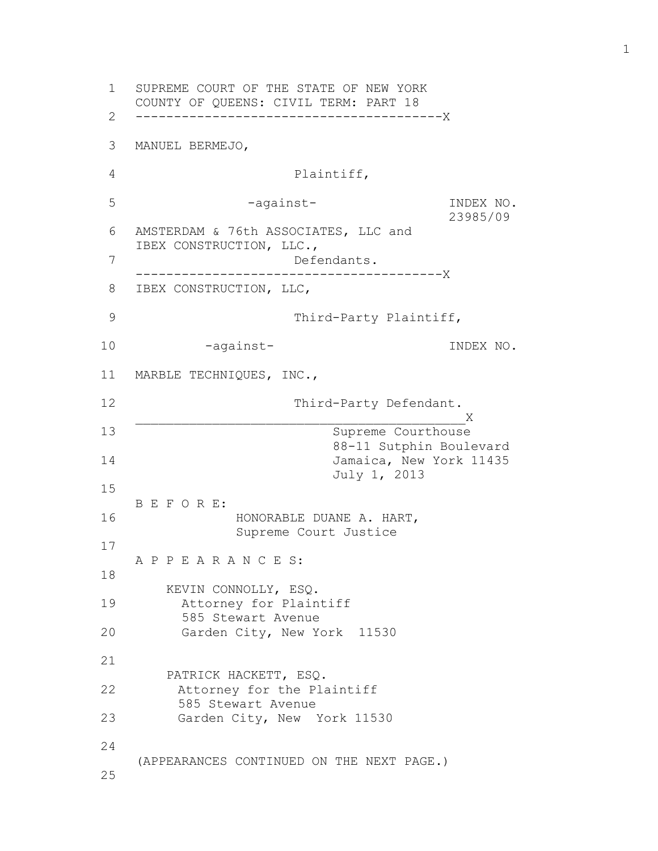1 2 3 4 5 6 7 8 9 10 11 MARBLE TECHNIQUES, INC., 12 13 14 15 16 17 18 19 20 21 22 23 24 25 SUPREME COURT OF THE STATE OF NEW YORK COUNTY OF QUEENS: CIVIL TERM: PART 18 ----------------------------------------X MANUEL BERMEJO, Plaintiff, -against-<br>
INDEX NO. 23985/09 AMSTERDAM & 76th ASSOCIATES, LLC and IBEX CONSTRUCTION, LLC., Defendants. ----------------------------------------X IBEX CONSTRUCTION, LLC, Third-Party Plaintiff, -against- INDEX NO. Third-Party Defendant.  $_\mathrm{X}$   $_\mathrm{X}$ Supreme Courthouse 88-11 Sutphin Boulevard Jamaica, New York 11435 July 1, 2013 B E F O R E: HONORABLE DUANE A. HART, Supreme Court Justice A P P E A R A N C E S: KEVIN CONNOLLY, ESQ. Attorney for Plaintiff 585 Stewart Avenue Garden City, New York 11530 PATRICK HACKETT, ESQ. Attorney for the Plaintiff 585 Stewart Avenue Garden City, New York 11530 (APPEARANCES CONTINUED ON THE NEXT PAGE.)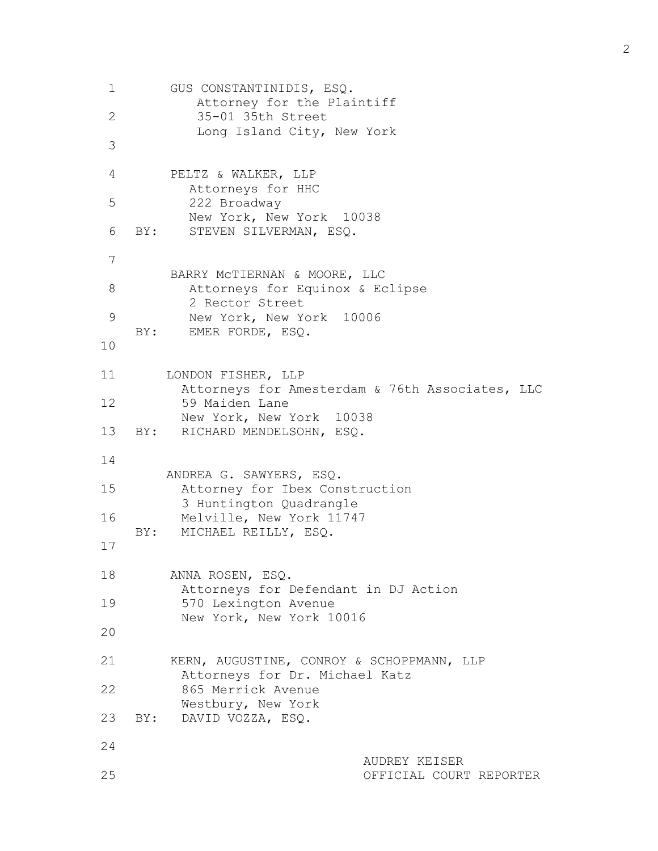```
1
 2
 3
 4
 5
 6
 7
 8
 9
10
11
12
13
14
15
16
17
18
19
20
21
22
23
24
25
         GUS CONSTANTINIDIS, ESQ.
            Attorney for the Plaintiff
            35-01 35th Street
            Long Island City, New York
         PELTZ & WALKER, LLP
           Attorneys for HHC
           222 Broadway
           New York, New York 10038
    BY: STEVEN SILVERMAN, ESQ.
         BARRY McTIERNAN & MOORE, LLC
           Attorneys for Equinox & Eclipse
           2 Rector Street
           New York, New York 10006
    BY: EMER FORDE, ESQ.
        LONDON FISHER, LLP
          Attorneys for Amesterdam & 76th Associates, LLC
          59 Maiden Lane
          New York, New York 10038
   BY: RICHARD MENDELSOHN, ESQ.
        ANDREA G. SAWYERS, ESQ.
          Attorney for Ibex Construction
          3 Huntington Quadrangle
          Melville, New York 11747
    BY: MICHAEL REILLY, ESQ.
         ANNA ROSEN, ESQ.
          Attorneys for Defendant in DJ Action
          570 Lexington Avenue
          New York, New York 10016
         KERN, AUGUSTINE, CONROY & SCHOPPMANN, LLP
          Attorneys for Dr. Michael Katz
          865 Merrick Avenue
          Westbury, New York
   BY: DAVID VOZZA, ESQ.
                                  AUDREY KEISER
                                  OFFICIAL COURT REPORTER
```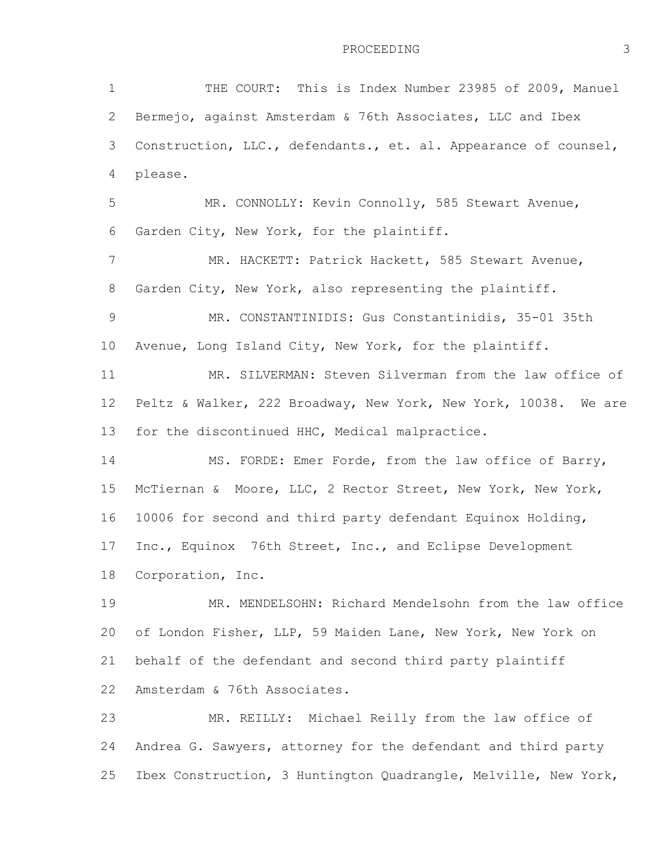1 2 3 4 5 6 7 8 9 10 11 12 13 14 15 16 17 18 19 20 THE COURT: This is Index Number 23985 of 2009, Manuel Bermejo, against Amsterdam & 76th Associates, LLC and Ibex Construction, LLC., defendants., et. al. Appearance of counsel, please. MR. CONNOLLY: Kevin Connolly, 585 Stewart Avenue, Garden City, New York, for the plaintiff. MR. HACKETT: Patrick Hackett, 585 Stewart Avenue, Garden City, New York, also representing the plaintiff. MR. CONSTANTINIDIS: Gus Constantinidis, 35-01 35th Avenue, Long Island City, New York, for the plaintiff. MR. SILVERMAN: Steven Silverman from the law office of Peltz & Walker, 222 Broadway, New York, New York, 10038. We are for the discontinued HHC, Medical malpractice. MS. FORDE: Emer Forde, from the law office of Barry, McTiernan & Moore, LLC, 2 Rector Street, New York, New York, 10006 for second and third party defendant Equinox Holding, Inc., Equinox 76th Street, Inc., and Eclipse Development Corporation, Inc. MR. MENDELSOHN: Richard Mendelsohn from the law office of London Fisher, LLP, 59 Maiden Lane, New York, New York on

21 22 behalf of the defendant and second third party plaintiff Amsterdam & 76th Associates.

23 24 25 MR. REILLY: Michael Reilly from the law office of Andrea G. Sawyers, attorney for the defendant and third party Ibex Construction, 3 Huntington Quadrangle, Melville, New York,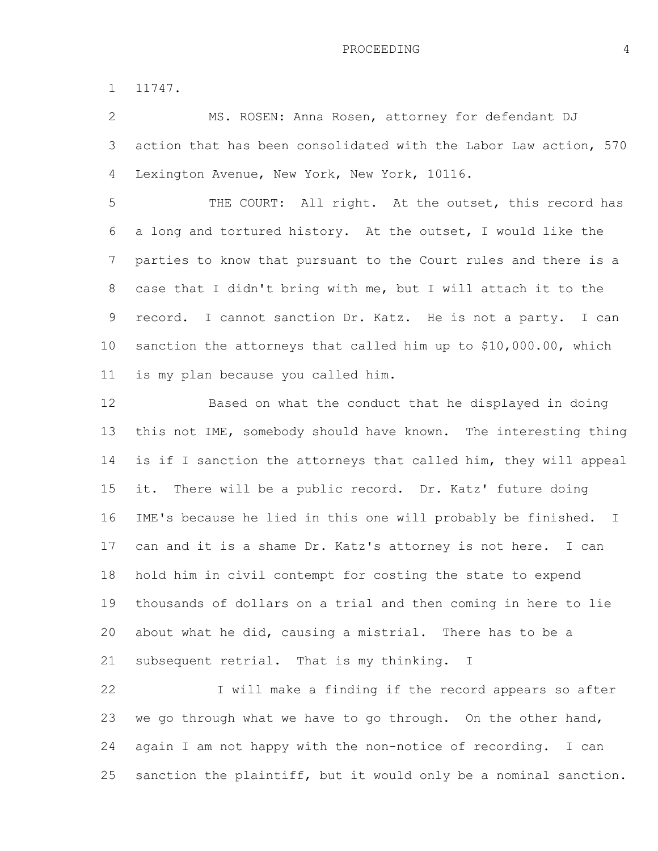1 11747.

2 3 4 MS. ROSEN: Anna Rosen, attorney for defendant DJ action that has been consolidated with the Labor Law action, 570 Lexington Avenue, New York, New York, 10116.

5 6 7 8 9 10 11 THE COURT: All right. At the outset, this record has a long and tortured history. At the outset, I would like the parties to know that pursuant to the Court rules and there is a case that I didn't bring with me, but I will attach it to the record. I cannot sanction Dr. Katz. He is not a party. I can sanction the attorneys that called him up to \$10,000.00, which is my plan because you called him.

12 13 14 15 16 17 18 19 20 21 Based on what the conduct that he displayed in doing this not IME, somebody should have known. The interesting thing is if I sanction the attorneys that called him, they will appeal it. There will be a public record. Dr. Katz' future doing IME's because he lied in this one will probably be finished. I can and it is a shame Dr. Katz's attorney is not here. I can hold him in civil contempt for costing the state to expend thousands of dollars on a trial and then coming in here to lie about what he did, causing a mistrial. There has to be a subsequent retrial. That is my thinking. I

22 23 24 25 I will make a finding if the record appears so after we go through what we have to go through. On the other hand, again I am not happy with the non-notice of recording. I can sanction the plaintiff, but it would only be a nominal sanction.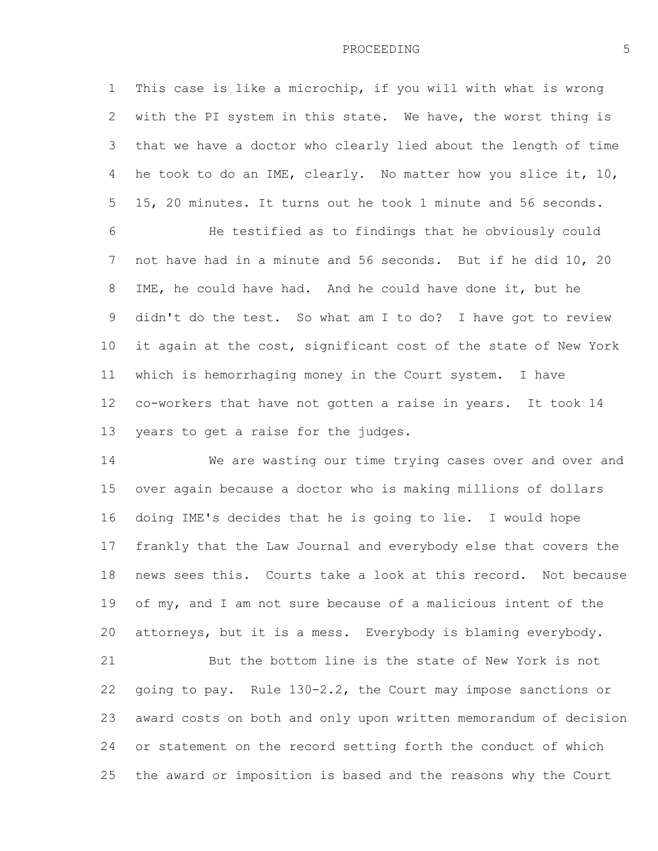1 2 3 4 5 This case is like a microchip, if you will with what is wrong with the PI system in this state. We have, the worst thing is that we have a doctor who clearly lied about the length of time he took to do an IME, clearly. No matter how you slice it, 10, 15, 20 minutes. It turns out he took 1 minute and 56 seconds.

6 7 8 9 10 11 12 13 He testified as to findings that he obviously could not have had in a minute and 56 seconds. But if he did 10, 20 IME, he could have had. And he could have done it, but he didn't do the test. So what am I to do? I have got to review it again at the cost, significant cost of the state of New York which is hemorrhaging money in the Court system. I have co-workers that have not gotten a raise in years. It took 14 years to get a raise for the judges.

14 15 16 17 18 19 20 We are wasting our time trying cases over and over and over again because a doctor who is making millions of dollars doing IME's decides that he is going to lie. I would hope frankly that the Law Journal and everybody else that covers the news sees this. Courts take a look at this record. Not because of my, and I am not sure because of a malicious intent of the attorneys, but it is a mess. Everybody is blaming everybody.

21 22 23 24 25 But the bottom line is the state of New York is not going to pay. Rule 130-2.2, the Court may impose sanctions or award costs on both and only upon written memorandum of decision or statement on the record setting forth the conduct of which the award or imposition is based and the reasons why the Court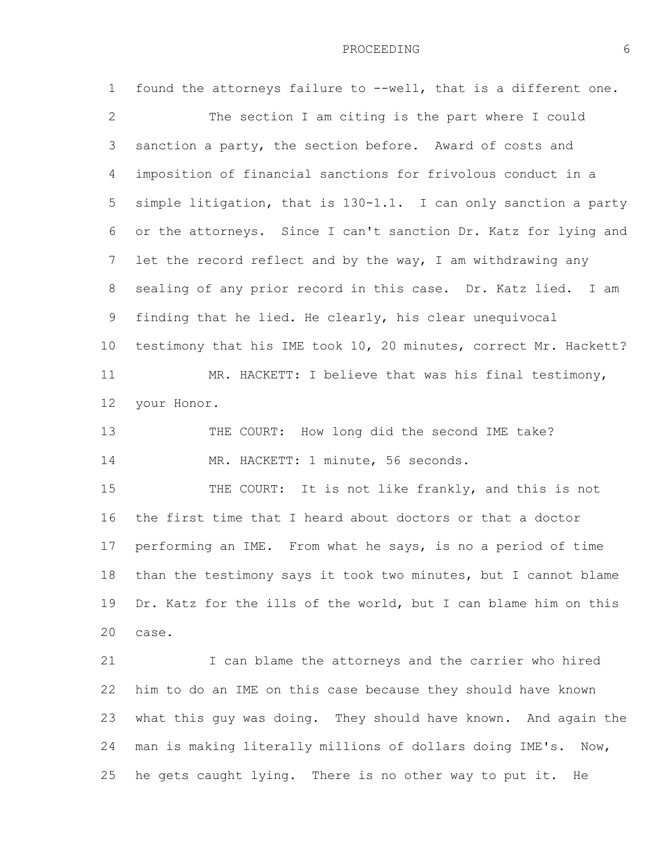1 2 3 4 5 6 7 8 9 10 11 12 13 14 15 16 17 18 19 20 21 22 23 24 25 found the attorneys failure to --well, that is a different one. The section I am citing is the part where I could sanction a party, the section before. Award of costs and imposition of financial sanctions for frivolous conduct in a simple litigation, that is 130-1.1. I can only sanction a party or the attorneys. Since I can't sanction Dr. Katz for lying and let the record reflect and by the way, I am withdrawing any sealing of any prior record in this case. Dr. Katz lied. I am finding that he lied. He clearly, his clear unequivocal testimony that his IME took 10, 20 minutes, correct Mr. Hackett? MR. HACKETT: I believe that was his final testimony, your Honor. THE COURT: How long did the second IME take? MR. HACKETT: 1 minute, 56 seconds. THE COURT: It is not like frankly, and this is not the first time that I heard about doctors or that a doctor performing an IME. From what he says, is no a period of time than the testimony says it took two minutes, but I cannot blame Dr. Katz for the ills of the world, but I can blame him on this case. I can blame the attorneys and the carrier who hired him to do an IME on this case because they should have known what this guy was doing. They should have known. And again the man is making literally millions of dollars doing IME's. Now, he gets caught lying. There is no other way to put it. He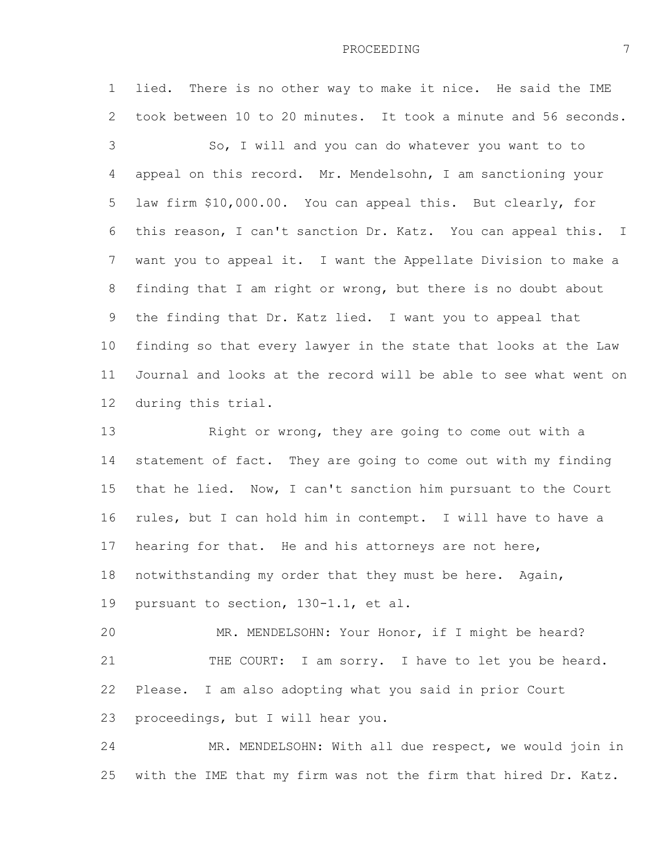1 2 3 4 5 6 7 8 9 10 11 12 lied. There is no other way to make it nice. He said the IME took between 10 to 20 minutes. It took a minute and 56 seconds. So, I will and you can do whatever you want to to appeal on this record. Mr. Mendelsohn, I am sanctioning your law firm \$10,000.00. You can appeal this. But clearly, for this reason, I can't sanction Dr. Katz. You can appeal this. I want you to appeal it. I want the Appellate Division to make a finding that I am right or wrong, but there is no doubt about the finding that Dr. Katz lied. I want you to appeal that finding so that every lawyer in the state that looks at the Law Journal and looks at the record will be able to see what went on during this trial.

13 14 15 16 17 18 19 Right or wrong, they are going to come out with a statement of fact. They are going to come out with my finding that he lied. Now, I can't sanction him pursuant to the Court rules, but I can hold him in contempt. I will have to have a hearing for that. He and his attorneys are not here, notwithstanding my order that they must be here. Again, pursuant to section, 130-1.1, et al.

20 21 22 23 MR. MENDELSOHN: Your Honor, if I might be heard? THE COURT: I am sorry. I have to let you be heard. Please. I am also adopting what you said in prior Court proceedings, but I will hear you.

24 25 MR. MENDELSOHN: With all due respect, we would join in with the IME that my firm was not the firm that hired Dr. Katz.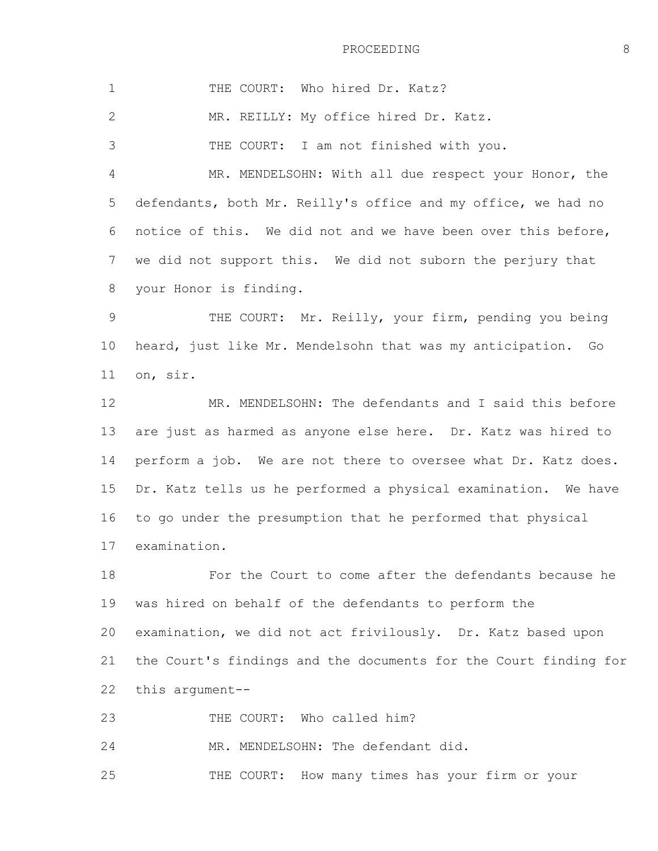1 2 3 4 5 6 7 8 9 10 11 12 13 14 15 16 17 18 19 20 THE COURT: Who hired Dr. Katz? MR. REILLY: My office hired Dr. Katz. THE COURT: I am not finished with you. MR. MENDELSOHN: With all due respect your Honor, the defendants, both Mr. Reilly's office and my office, we had no notice of this. We did not and we have been over this before, we did not support this. We did not suborn the perjury that your Honor is finding. THE COURT: Mr. Reilly, your firm, pending you being heard, just like Mr. Mendelsohn that was my anticipation. Go on, sir. MR. MENDELSOHN: The defendants and I said this before are just as harmed as anyone else here. Dr. Katz was hired to perform a job. We are not there to oversee what Dr. Katz does. Dr. Katz tells us he performed a physical examination. We have to go under the presumption that he performed that physical examination. For the Court to come after the defendants because he was hired on behalf of the defendants to perform the examination, we did not act frivilously. Dr. Katz based upon

21 22 the Court's findings and the documents for the Court finding for this argument--

23 THE COURT: Who called him?

24 MR. MENDELSOHN: The defendant did.

25 THE COURT: How many times has your firm or your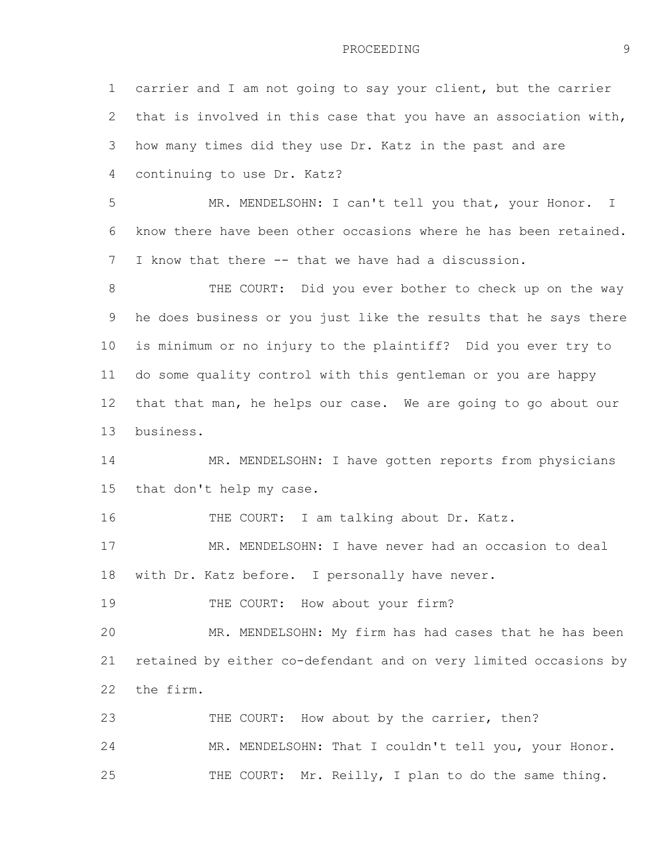1 2 3 4 5 6 7 8 9 10 11 12 13 14 15 16 17 18 19 20 21 22 23 24 25 carrier and I am not going to say your client, but the carrier that is involved in this case that you have an association with, how many times did they use Dr. Katz in the past and are continuing to use Dr. Katz? MR. MENDELSOHN: I can't tell you that, your Honor. I know there have been other occasions where he has been retained. I know that there -- that we have had a discussion. THE COURT: Did you ever bother to check up on the way he does business or you just like the results that he says there is minimum or no injury to the plaintiff? Did you ever try to do some quality control with this gentleman or you are happy that that man, he helps our case. We are going to go about our business. MR. MENDELSOHN: I have gotten reports from physicians that don't help my case. THE COURT: I am talking about Dr. Katz. MR. MENDELSOHN: I have never had an occasion to deal with Dr. Katz before. I personally have never. THE COURT: How about your firm? MR. MENDELSOHN: My firm has had cases that he has been retained by either co-defendant and on very limited occasions by the firm. THE COURT: How about by the carrier, then? MR. MENDELSOHN: That I couldn't tell you, your Honor. THE COURT: Mr. Reilly, I plan to do the same thing.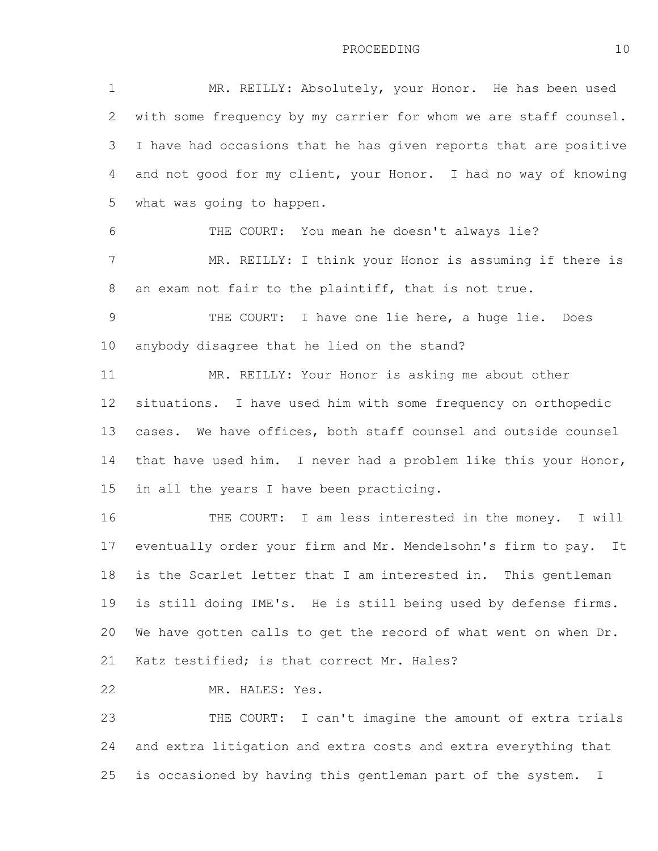1 2 3 4 5 6 7 8 9 10 11 12 13 14 15 16 17 18 19 20 21 22 23 24 MR. REILLY: Absolutely, your Honor. He has been used with some frequency by my carrier for whom we are staff counsel. I have had occasions that he has given reports that are positive and not good for my client, your Honor. I had no way of knowing what was going to happen. THE COURT: You mean he doesn't always lie? MR. REILLY: I think your Honor is assuming if there is an exam not fair to the plaintiff, that is not true. THE COURT: I have one lie here, a huge lie. Does anybody disagree that he lied on the stand? MR. REILLY: Your Honor is asking me about other situations. I have used him with some frequency on orthopedic cases. We have offices, both staff counsel and outside counsel that have used him. I never had a problem like this your Honor, in all the years I have been practicing. THE COURT: I am less interested in the money. I will eventually order your firm and Mr. Mendelsohn's firm to pay. It is the Scarlet letter that I am interested in. This gentleman is still doing IME's. He is still being used by defense firms. We have gotten calls to get the record of what went on when Dr. Katz testified; is that correct Mr. Hales? MR. HALES: Yes. THE COURT: I can't imagine the amount of extra trials and extra litigation and extra costs and extra everything that

is occasioned by having this gentleman part of the system. I

25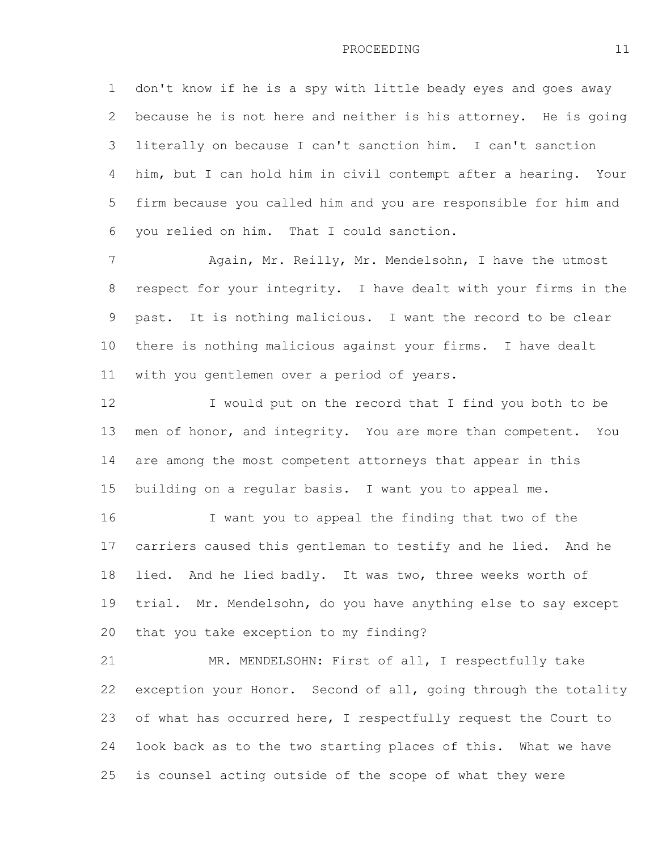1 2 3 4 5 6 don't know if he is a spy with little beady eyes and goes away because he is not here and neither is his attorney. He is going literally on because I can't sanction him. I can't sanction him, but I can hold him in civil contempt after a hearing. Your firm because you called him and you are responsible for him and you relied on him. That I could sanction.

7 8 9 10 11 Again, Mr. Reilly, Mr. Mendelsohn, I have the utmost respect for your integrity. I have dealt with your firms in the past. It is nothing malicious. I want the record to be clear there is nothing malicious against your firms. I have dealt with you gentlemen over a period of years.

12 13 14 15 I would put on the record that I find you both to be men of honor, and integrity. You are more than competent. You are among the most competent attorneys that appear in this building on a regular basis. I want you to appeal me.

16 17 18 19 20 I want you to appeal the finding that two of the carriers caused this gentleman to testify and he lied. And he lied. And he lied badly. It was two, three weeks worth of trial. Mr. Mendelsohn, do you have anything else to say except that you take exception to my finding?

21 22 23 24 25 MR. MENDELSOHN: First of all, I respectfully take exception your Honor. Second of all, going through the totality of what has occurred here, I respectfully request the Court to look back as to the two starting places of this. What we have is counsel acting outside of the scope of what they were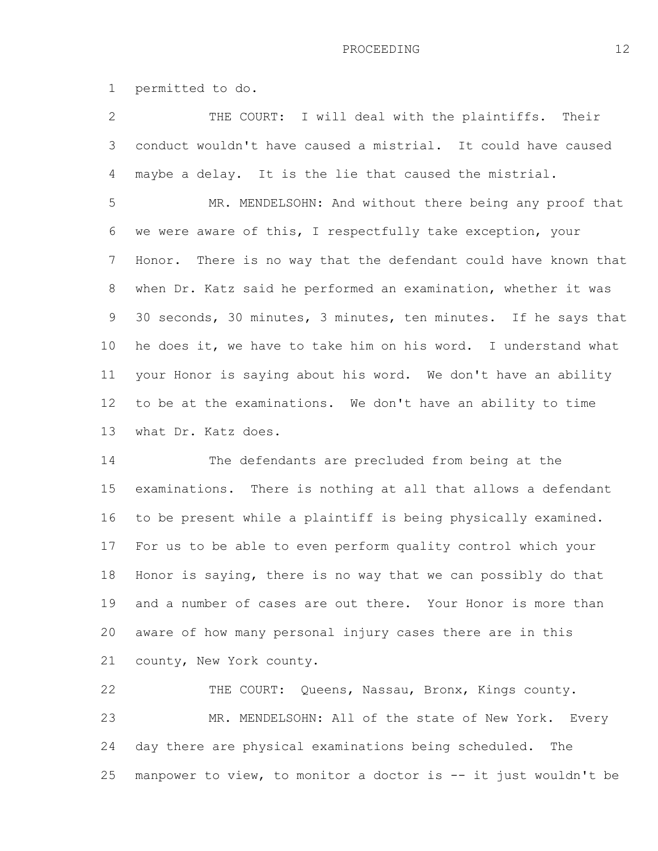1 permitted to do.

2 3 4 THE COURT: I will deal with the plaintiffs. Their conduct wouldn't have caused a mistrial. It could have caused maybe a delay. It is the lie that caused the mistrial.

5 6 7 8 9 10 11 12 13 MR. MENDELSOHN: And without there being any proof that we were aware of this, I respectfully take exception, your Honor. There is no way that the defendant could have known that when Dr. Katz said he performed an examination, whether it was 30 seconds, 30 minutes, 3 minutes, ten minutes. If he says that he does it, we have to take him on his word. I understand what your Honor is saying about his word. We don't have an ability to be at the examinations. We don't have an ability to time what Dr. Katz does.

14 15 16 17 18 19 20 21 The defendants are precluded from being at the examinations. There is nothing at all that allows a defendant to be present while a plaintiff is being physically examined. For us to be able to even perform quality control which your Honor is saying, there is no way that we can possibly do that and a number of cases are out there. Your Honor is more than aware of how many personal injury cases there are in this county, New York county.

22 23 24 25 THE COURT: Queens, Nassau, Bronx, Kings county. MR. MENDELSOHN: All of the state of New York. Every day there are physical examinations being scheduled. The manpower to view, to monitor a doctor is -- it just wouldn't be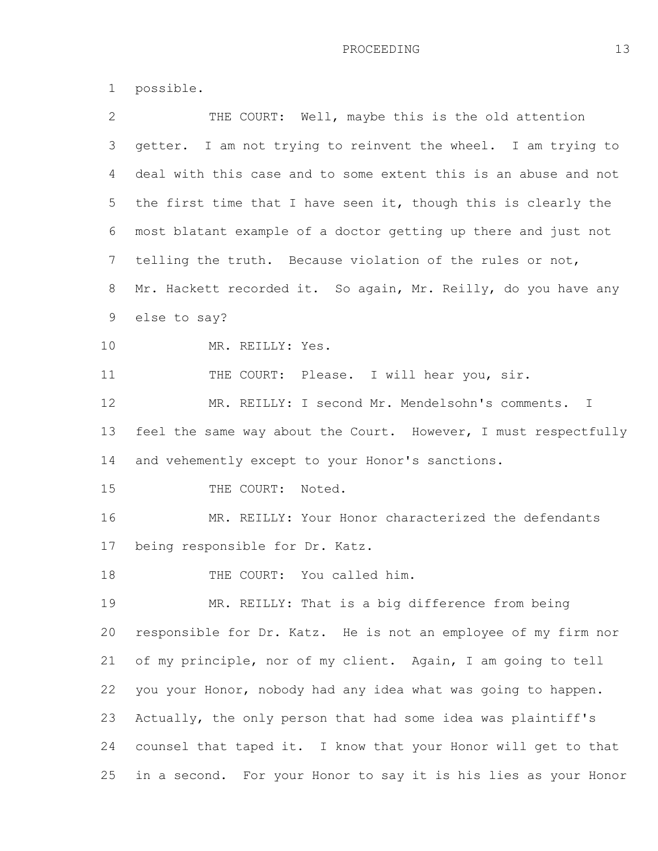1 2 3 4 5 6 7 8 9 10 11 12 13 14 15 16 17 18 19 20 21 22 PROCEEDING 13 possible. THE COURT: Well, maybe this is the old attention getter. I am not trying to reinvent the wheel. I am trying to deal with this case and to some extent this is an abuse and not the first time that I have seen it, though this is clearly the most blatant example of a doctor getting up there and just not telling the truth. Because violation of the rules or not, Mr. Hackett recorded it. So again, Mr. Reilly, do you have any else to say? MR. REILLY: Yes. THE COURT: Please. I will hear you, sir. MR. REILLY: I second Mr. Mendelsohn's comments. I feel the same way about the Court. However, I must respectfully and vehemently except to your Honor's sanctions. THE COURT: Noted. MR. REILLY: Your Honor characterized the defendants being responsible for Dr. Katz. THE COURT: You called him. MR. REILLY: That is a big difference from being responsible for Dr. Katz. He is not an employee of my firm nor of my principle, nor of my client. Again, I am going to tell you your Honor, nobody had any idea what was going to happen.

23 24 25 Actually, the only person that had some idea was plaintiff's counsel that taped it. I know that your Honor will get to that in a second. For your Honor to say it is his lies as your Honor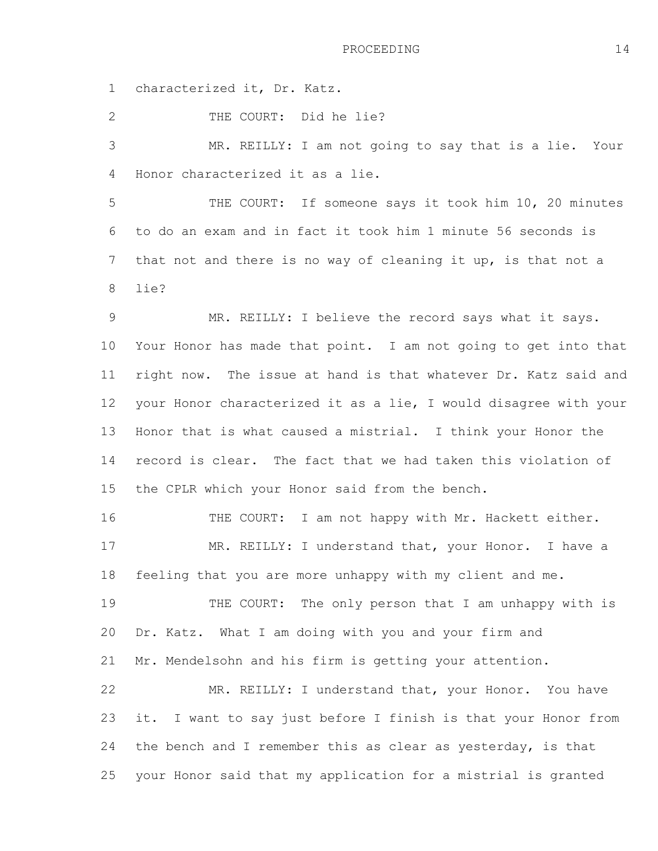1 characterized it, Dr. Katz.

2 THE COURT: Did he lie?

3 4 MR. REILLY: I am not going to say that is a lie. Your Honor characterized it as a lie.

5 6 7 8 THE COURT: If someone says it took him 10, 20 minutes to do an exam and in fact it took him 1 minute 56 seconds is that not and there is no way of cleaning it up, is that not a lie?

9 10 11 12 13 14 15 MR. REILLY: I believe the record says what it says. Your Honor has made that point. I am not going to get into that right now. The issue at hand is that whatever Dr. Katz said and your Honor characterized it as a lie, I would disagree with your Honor that is what caused a mistrial. I think your Honor the record is clear. The fact that we had taken this violation of the CPLR which your Honor said from the bench.

16 17 18 THE COURT: I am not happy with Mr. Hackett either. MR. REILLY: I understand that, your Honor. I have a feeling that you are more unhappy with my client and me.

19 20 21 THE COURT: The only person that I am unhappy with is Dr. Katz. What I am doing with you and your firm and Mr. Mendelsohn and his firm is getting your attention.

22 23 24 25 MR. REILLY: I understand that, your Honor. You have it. I want to say just before I finish is that your Honor from the bench and I remember this as clear as yesterday, is that your Honor said that my application for a mistrial is granted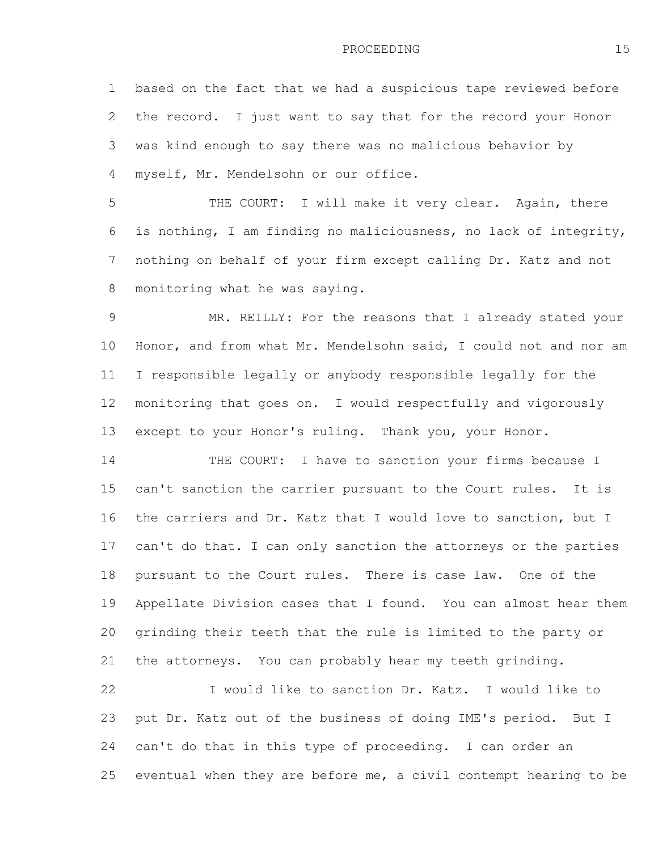1 2 3 4 based on the fact that we had a suspicious tape reviewed before the record. I just want to say that for the record your Honor was kind enough to say there was no malicious behavior by myself, Mr. Mendelsohn or our office.

5 6 7 8 THE COURT: I will make it very clear. Again, there is nothing, I am finding no maliciousness, no lack of integrity, nothing on behalf of your firm except calling Dr. Katz and not monitoring what he was saying.

9 10 11 12 13 MR. REILLY: For the reasons that I already stated your Honor, and from what Mr. Mendelsohn said, I could not and nor am I responsible legally or anybody responsible legally for the monitoring that goes on. I would respectfully and vigorously except to your Honor's ruling. Thank you, your Honor.

14 15 16 17 18 19 20 21 THE COURT: I have to sanction your firms because I can't sanction the carrier pursuant to the Court rules. It is the carriers and Dr. Katz that I would love to sanction, but I can't do that. I can only sanction the attorneys or the parties pursuant to the Court rules. There is case law. One of the Appellate Division cases that I found. You can almost hear them grinding their teeth that the rule is limited to the party or the attorneys. You can probably hear my teeth grinding.

22 23 24 25 I would like to sanction Dr. Katz. I would like to put Dr. Katz out of the business of doing IME's period. But I can't do that in this type of proceeding. I can order an eventual when they are before me, a civil contempt hearing to be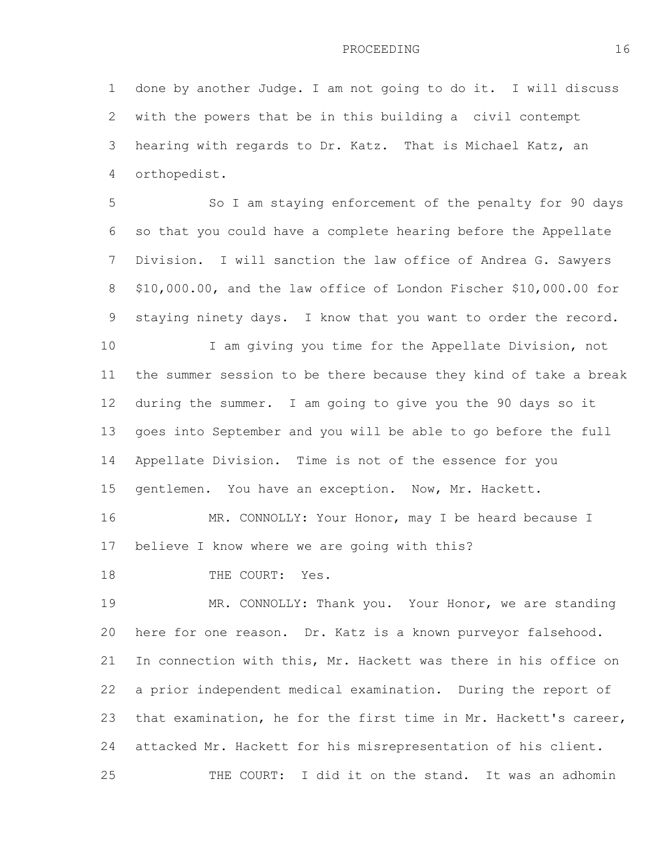1 2 3 4 done by another Judge. I am not going to do it. I will discuss with the powers that be in this building a civil contempt hearing with regards to Dr. Katz. That is Michael Katz, an orthopedist.

5 6 7 8 9 So I am staying enforcement of the penalty for 90 days so that you could have a complete hearing before the Appellate Division. I will sanction the law office of Andrea G. Sawyers \$10,000.00, and the law office of London Fischer \$10,000.00 for staying ninety days. I know that you want to order the record.

10 11 12 13 14 15 I am giving you time for the Appellate Division, not the summer session to be there because they kind of take a break during the summer. I am going to give you the 90 days so it goes into September and you will be able to go before the full Appellate Division. Time is not of the essence for you gentlemen. You have an exception. Now, Mr. Hackett.

16 17 MR. CONNOLLY: Your Honor, may I be heard because I believe I know where we are going with this?

18 THE COURT: Yes.

19 20 21 22 23 24 25 MR. CONNOLLY: Thank you. Your Honor, we are standing here for one reason. Dr. Katz is a known purveyor falsehood. In connection with this, Mr. Hackett was there in his office on a prior independent medical examination. During the report of that examination, he for the first time in Mr. Hackett's career, attacked Mr. Hackett for his misrepresentation of his client. THE COURT: I did it on the stand. It was an adhomin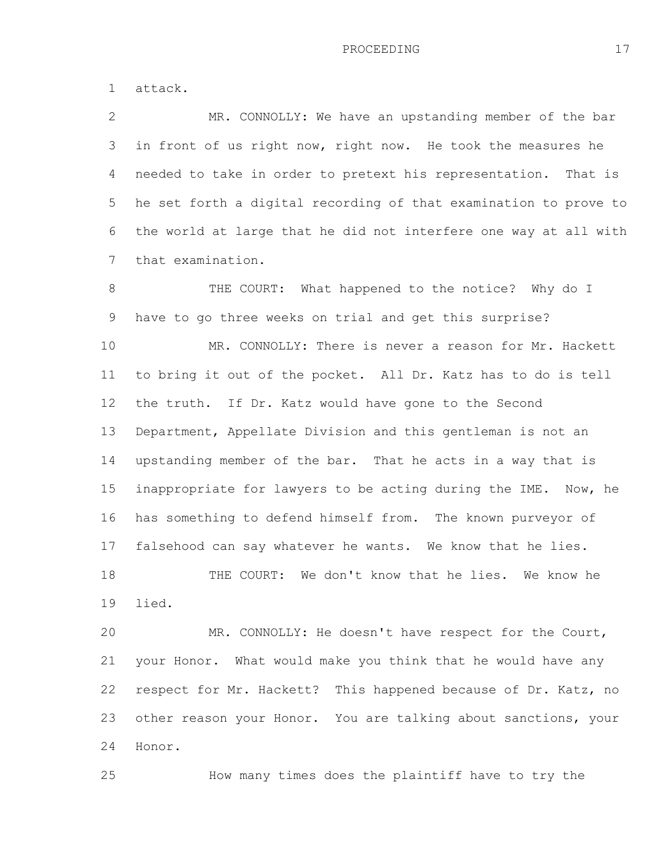1 attack.

2 3 4 5 6 7 MR. CONNOLLY: We have an upstanding member of the bar in front of us right now, right now. He took the measures he needed to take in order to pretext his representation. That is he set forth a digital recording of that examination to prove to the world at large that he did not interfere one way at all with that examination.

8 9 THE COURT: What happened to the notice? Why do I have to go three weeks on trial and get this surprise?

10 11 12 13 14 15 16 17 18 19 MR. CONNOLLY: There is never a reason for Mr. Hackett to bring it out of the pocket. All Dr. Katz has to do is tell the truth. If Dr. Katz would have gone to the Second Department, Appellate Division and this gentleman is not an upstanding member of the bar. That he acts in a way that is inappropriate for lawyers to be acting during the IME. Now, he has something to defend himself from. The known purveyor of falsehood can say whatever he wants. We know that he lies. THE COURT: We don't know that he lies. We know he lied.

20 21 22 23 24 MR. CONNOLLY: He doesn't have respect for the Court, your Honor. What would make you think that he would have any respect for Mr. Hackett? This happened because of Dr. Katz, no other reason your Honor. You are talking about sanctions, your Honor.

25 How many times does the plaintiff have to try the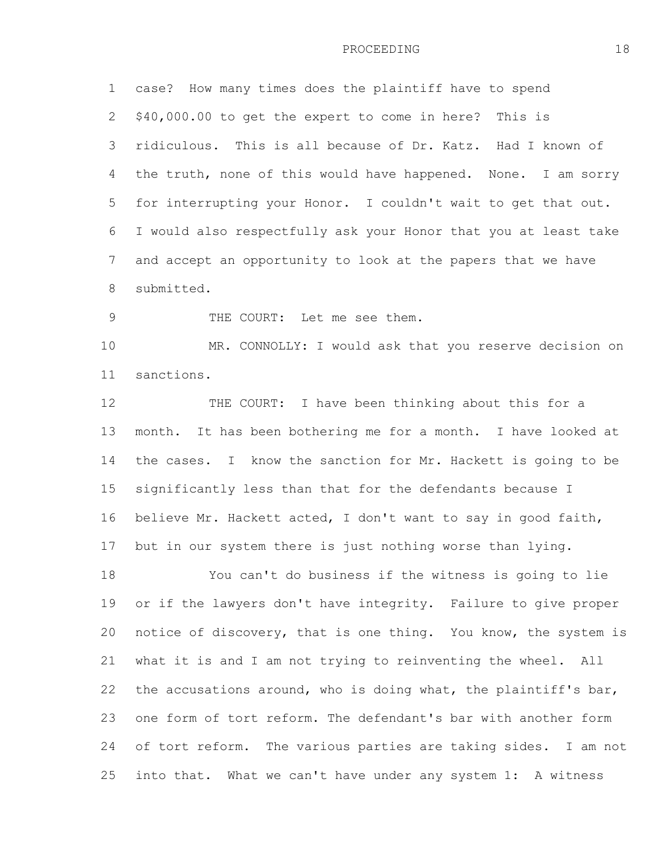1 2 3 4 5 6 7 8 case? How many times does the plaintiff have to spend \$40,000.00 to get the expert to come in here? This is ridiculous. This is all because of Dr. Katz. Had I known of the truth, none of this would have happened. None. I am sorry for interrupting your Honor. I couldn't wait to get that out. I would also respectfully ask your Honor that you at least take and accept an opportunity to look at the papers that we have submitted.

THE COURT: Let me see them.

9

10 11 MR. CONNOLLY: I would ask that you reserve decision on sanctions.

12 13 14 15 16 17 THE COURT: I have been thinking about this for a month. It has been bothering me for a month. I have looked at the cases. I know the sanction for Mr. Hackett is going to be significantly less than that for the defendants because I believe Mr. Hackett acted, I don't want to say in good faith, but in our system there is just nothing worse than lying.

18 19 20 21 22 23 24 25 You can't do business if the witness is going to lie or if the lawyers don't have integrity. Failure to give proper notice of discovery, that is one thing. You know, the system is what it is and I am not trying to reinventing the wheel. All the accusations around, who is doing what, the plaintiff's bar, one form of tort reform. The defendant's bar with another form of tort reform. The various parties are taking sides. I am not into that. What we can't have under any system 1: A witness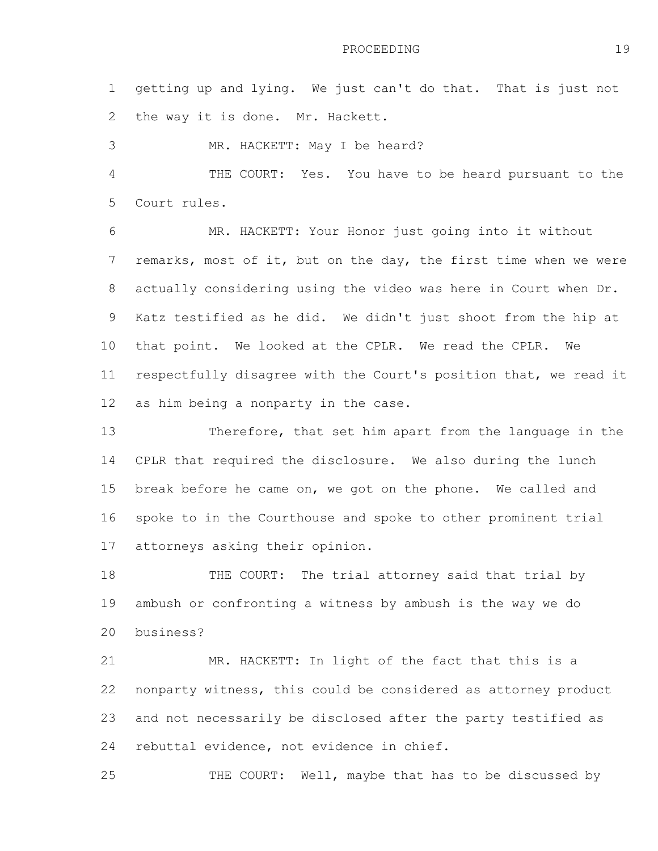1 2 getting up and lying. We just can't do that. That is just not the way it is done. Mr. Hackett.

3 MR. HACKETT: May I be heard?

4 5 THE COURT: Yes. You have to be heard pursuant to the Court rules.

6 7 8 9 10 11 12 MR. HACKETT: Your Honor just going into it without remarks, most of it, but on the day, the first time when we were actually considering using the video was here in Court when Dr. Katz testified as he did. We didn't just shoot from the hip at that point. We looked at the CPLR. We read the CPLR. We respectfully disagree with the Court's position that, we read it as him being a nonparty in the case.

13 14 15 16 17 Therefore, that set him apart from the language in the CPLR that required the disclosure. We also during the lunch break before he came on, we got on the phone. We called and spoke to in the Courthouse and spoke to other prominent trial attorneys asking their opinion.

18 19 20 THE COURT: The trial attorney said that trial by ambush or confronting a witness by ambush is the way we do business?

21 22 23 24 MR. HACKETT: In light of the fact that this is a nonparty witness, this could be considered as attorney product and not necessarily be disclosed after the party testified as rebuttal evidence, not evidence in chief.

25 THE COURT: Well, maybe that has to be discussed by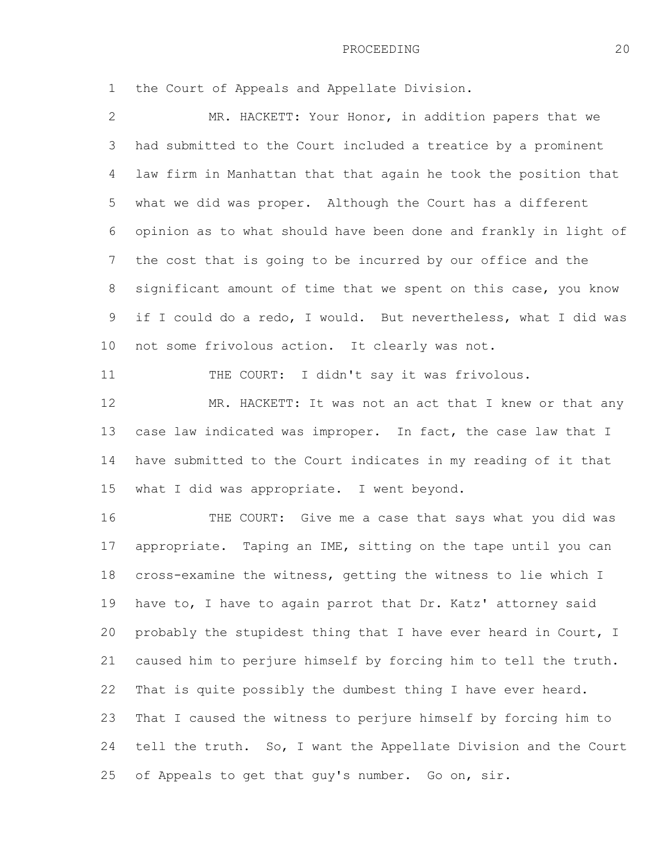1 the Court of Appeals and Appellate Division.

2 3 4 5 6 7 8 9 10 MR. HACKETT: Your Honor, in addition papers that we had submitted to the Court included a treatice by a prominent law firm in Manhattan that that again he took the position that what we did was proper. Although the Court has a different opinion as to what should have been done and frankly in light of the cost that is going to be incurred by our office and the significant amount of time that we spent on this case, you know if I could do a redo, I would. But nevertheless, what I did was not some frivolous action. It clearly was not.

11 THE COURT: I didn't say it was frivolous.

12 13 14 15 MR. HACKETT: It was not an act that I knew or that any case law indicated was improper. In fact, the case law that I have submitted to the Court indicates in my reading of it that what I did was appropriate. I went beyond.

16 17 18 19 20 21 22 23 24 25 THE COURT: Give me a case that says what you did was appropriate. Taping an IME, sitting on the tape until you can cross-examine the witness, getting the witness to lie which I have to, I have to again parrot that Dr. Katz' attorney said probably the stupidest thing that I have ever heard in Court, I caused him to perjure himself by forcing him to tell the truth. That is quite possibly the dumbest thing I have ever heard. That I caused the witness to perjure himself by forcing him to tell the truth. So, I want the Appellate Division and the Court of Appeals to get that guy's number. Go on, sir.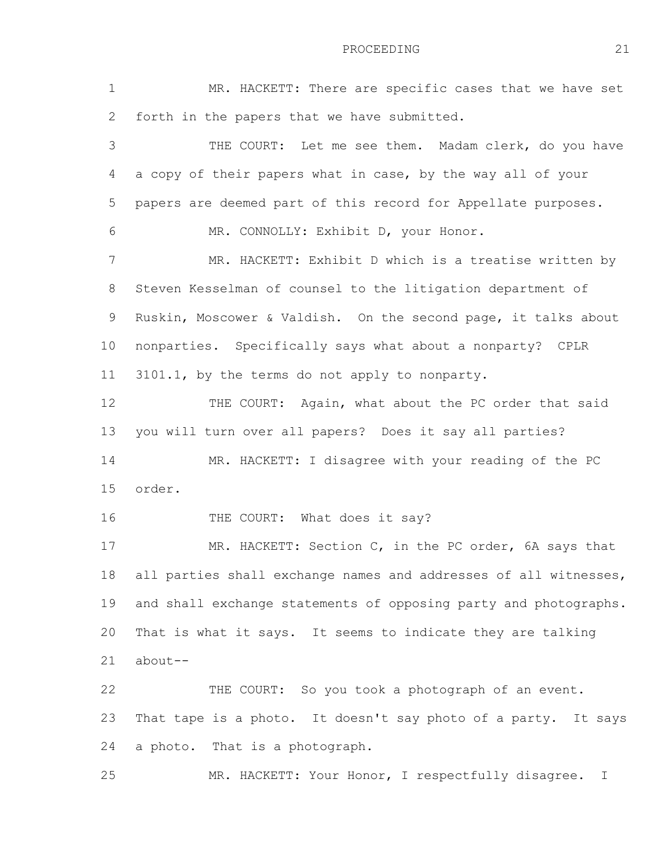1 2 3 4 5 6 7 8 9 10 11 12 13 14 15 16 17 18 19 20 21 22 23 24 25 MR. HACKETT: There are specific cases that we have set forth in the papers that we have submitted. THE COURT: Let me see them. Madam clerk, do you have a copy of their papers what in case, by the way all of your papers are deemed part of this record for Appellate purposes. MR. CONNOLLY: Exhibit D, your Honor. MR. HACKETT: Exhibit D which is a treatise written by Steven Kesselman of counsel to the litigation department of Ruskin, Moscower & Valdish. On the second page, it talks about nonparties. Specifically says what about a nonparty? CPLR 3101.1, by the terms do not apply to nonparty. THE COURT: Again, what about the PC order that said you will turn over all papers? Does it say all parties? MR. HACKETT: I disagree with your reading of the PC order. THE COURT: What does it say? MR. HACKETT: Section C, in the PC order, 6A says that all parties shall exchange names and addresses of all witnesses, and shall exchange statements of opposing party and photographs. That is what it says. It seems to indicate they are talking about-- THE COURT: So you took a photograph of an event. That tape is a photo. It doesn't say photo of a party. It says a photo. That is a photograph. MR. HACKETT: Your Honor, I respectfully disagree. I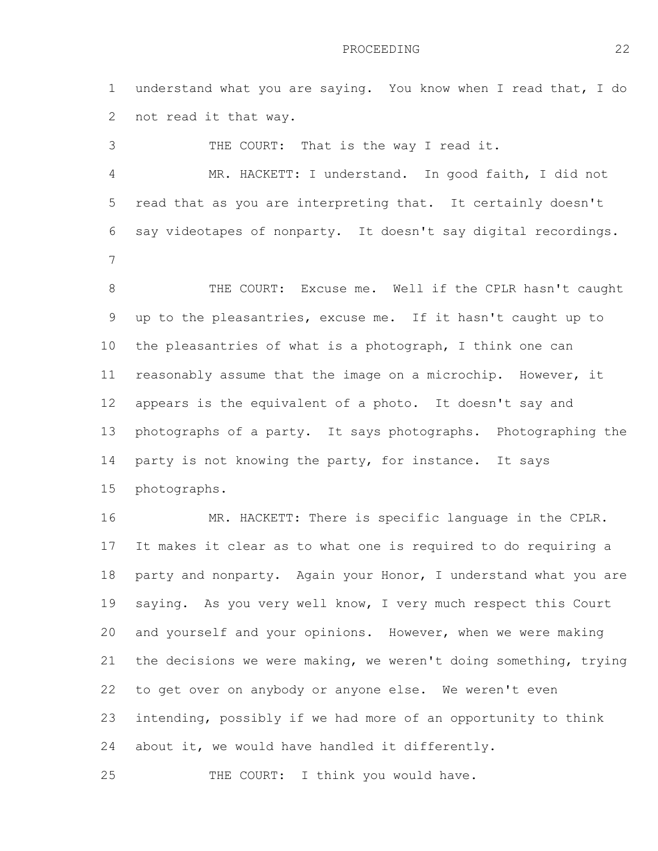1 2 understand what you are saying. You know when I read that, I do not read it that way.

3 4 5 6 7 8 9 THE COURT: That is the way I read it. MR. HACKETT: I understand. In good faith, I did not read that as you are interpreting that. It certainly doesn't say videotapes of nonparty. It doesn't say digital recordings. THE COURT: Excuse me. Well if the CPLR hasn't caught up to the pleasantries, excuse me. If it hasn't caught up to

10 11 12 13 14 15 the pleasantries of what is a photograph, I think one can reasonably assume that the image on a microchip. However, it appears is the equivalent of a photo. It doesn't say and photographs of a party. It says photographs. Photographing the party is not knowing the party, for instance. It says photographs.

16 17 18 19 20 21 22 23 24 MR. HACKETT: There is specific language in the CPLR. It makes it clear as to what one is required to do requiring a party and nonparty. Again your Honor, I understand what you are saying. As you very well know, I very much respect this Court and yourself and your opinions. However, when we were making the decisions we were making, we weren't doing something, trying to get over on anybody or anyone else. We weren't even intending, possibly if we had more of an opportunity to think about it, we would have handled it differently.

25 THE COURT: I think you would have.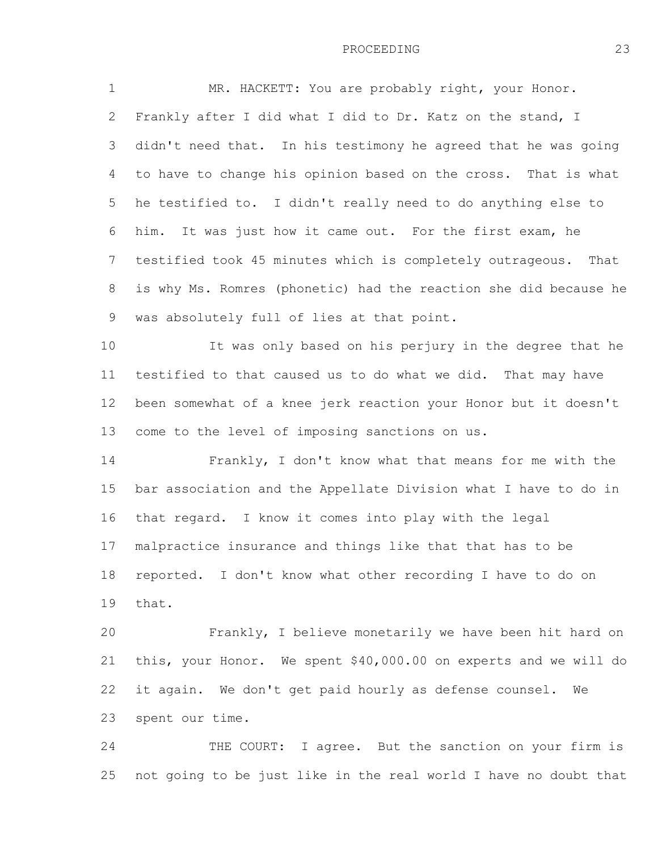1 2 3 4 5 6 7 8 9 10 MR. HACKETT: You are probably right, your Honor. Frankly after I did what I did to Dr. Katz on the stand, I didn't need that. In his testimony he agreed that he was going to have to change his opinion based on the cross. That is what he testified to. I didn't really need to do anything else to him. It was just how it came out. For the first exam, he testified took 45 minutes which is completely outrageous. That is why Ms. Romres (phonetic) had the reaction she did because he was absolutely full of lies at that point. It was only based on his perjury in the degree that he

11 12 13 testified to that caused us to do what we did. That may have been somewhat of a knee jerk reaction your Honor but it doesn't come to the level of imposing sanctions on us.

14 15 16 17 18 19 Frankly, I don't know what that means for me with the bar association and the Appellate Division what I have to do in that regard. I know it comes into play with the legal malpractice insurance and things like that that has to be reported. I don't know what other recording I have to do on that.

20 21 22 23 Frankly, I believe monetarily we have been hit hard on this, your Honor. We spent \$40,000.00 on experts and we will do it again. We don't get paid hourly as defense counsel. We spent our time.

24 25 THE COURT: I agree. But the sanction on your firm is not going to be just like in the real world I have no doubt that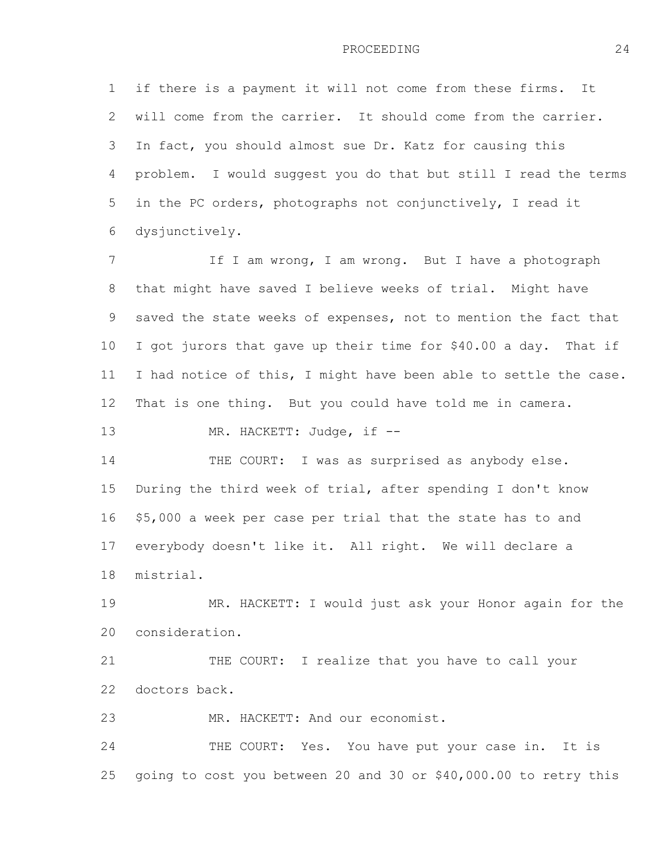1 2 3 4 5 6 if there is a payment it will not come from these firms. It will come from the carrier. It should come from the carrier. In fact, you should almost sue Dr. Katz for causing this problem. I would suggest you do that but still I read the terms in the PC orders, photographs not conjunctively, I read it dysjunctively.

7 8 9 10 11 12 If I am wrong, I am wrong. But I have a photograph that might have saved I believe weeks of trial. Might have saved the state weeks of expenses, not to mention the fact that I got jurors that gave up their time for \$40.00 a day. That if I had notice of this, I might have been able to settle the case. That is one thing. But you could have told me in camera.

13 MR. HACKETT: Judge, if --

14 15 16 17 18 THE COURT: I was as surprised as anybody else. During the third week of trial, after spending I don't know \$5,000 a week per case per trial that the state has to and everybody doesn't like it. All right. We will declare a mistrial.

19 20 MR. HACKETT: I would just ask your Honor again for the consideration.

21 22 THE COURT: I realize that you have to call your doctors back.

23 MR. HACKETT: And our economist.

24 25 THE COURT: Yes. You have put your case in. It is going to cost you between 20 and 30 or \$40,000.00 to retry this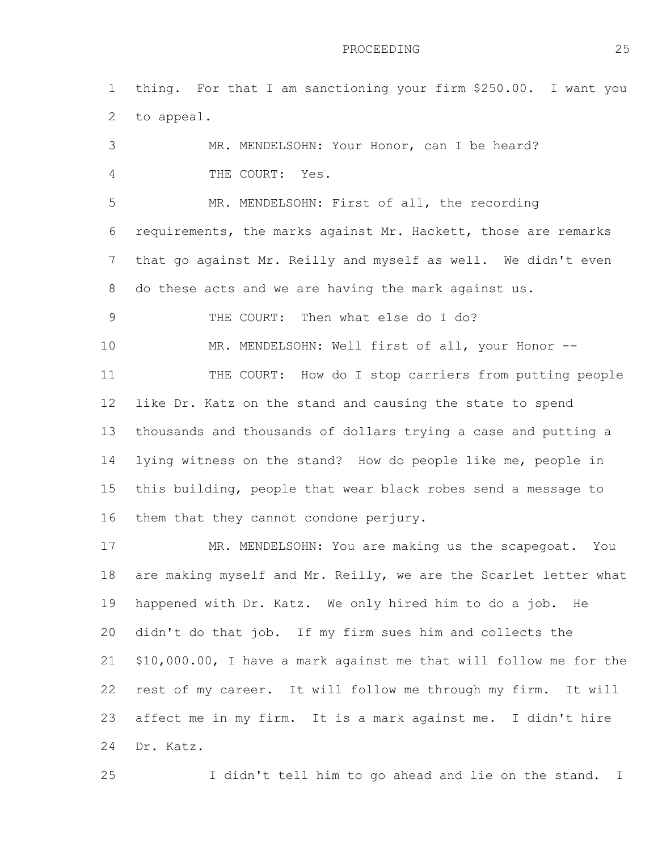1 2 thing. For that I am sanctioning your firm \$250.00. I want you to appeal.

3 4 5 6 7 8 9 10 11 12 13 14 15 16 MR. MENDELSOHN: Your Honor, can I be heard? THE COURT: Yes. MR. MENDELSOHN: First of all, the recording requirements, the marks against Mr. Hackett, those are remarks that go against Mr. Reilly and myself as well. We didn't even do these acts and we are having the mark against us. THE COURT: Then what else do I do? MR. MENDELSOHN: Well first of all, your Honor --THE COURT: How do I stop carriers from putting people like Dr. Katz on the stand and causing the state to spend thousands and thousands of dollars trying a case and putting a lying witness on the stand? How do people like me, people in this building, people that wear black robes send a message to them that they cannot condone perjury.

17 18 19 20 21 22 23 24 MR. MENDELSOHN: You are making us the scapegoat. You are making myself and Mr. Reilly, we are the Scarlet letter what happened with Dr. Katz. We only hired him to do a job. He didn't do that job. If my firm sues him and collects the \$10,000.00, I have a mark against me that will follow me for the rest of my career. It will follow me through my firm. It will affect me in my firm. It is a mark against me. I didn't hire Dr. Katz.

25 I didn't tell him to go ahead and lie on the stand. I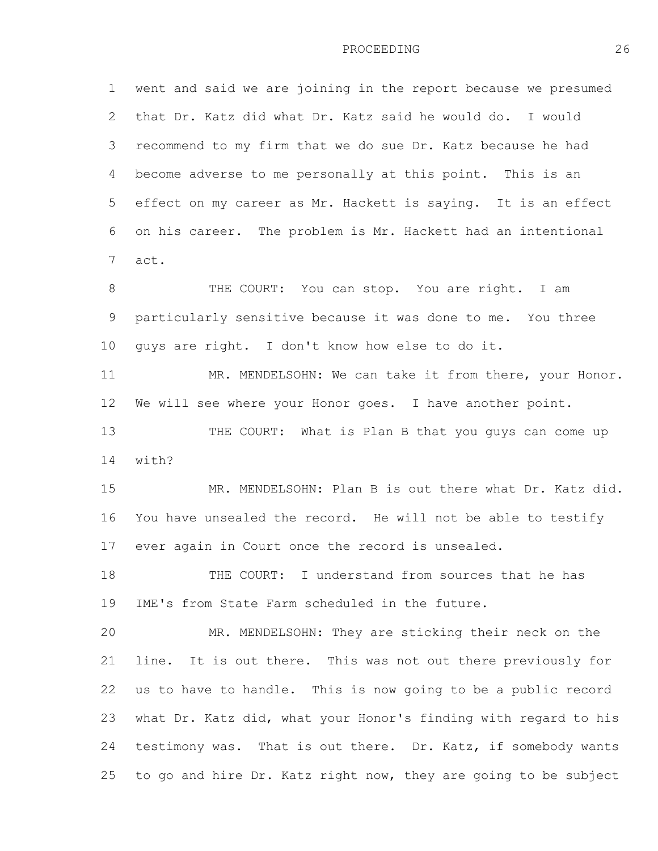1 2 3 4 5 6 7 went and said we are joining in the report because we presumed that Dr. Katz did what Dr. Katz said he would do. I would recommend to my firm that we do sue Dr. Katz because he had become adverse to me personally at this point. This is an effect on my career as Mr. Hackett is saying. It is an effect on his career. The problem is Mr. Hackett had an intentional act.

8 9 10 THE COURT: You can stop. You are right. I am particularly sensitive because it was done to me. You three guys are right. I don't know how else to do it.

11 12 MR. MENDELSOHN: We can take it from there, your Honor. We will see where your Honor goes. I have another point.

13 14 THE COURT: What is Plan B that you quys can come up with?

15 16 17 MR. MENDELSOHN: Plan B is out there what Dr. Katz did. You have unsealed the record. He will not be able to testify ever again in Court once the record is unsealed.

18 19 THE COURT: I understand from sources that he has IME's from State Farm scheduled in the future.

20 21 22 23 24 25 MR. MENDELSOHN: They are sticking their neck on the line. It is out there. This was not out there previously for us to have to handle. This is now going to be a public record what Dr. Katz did, what your Honor's finding with regard to his testimony was. That is out there. Dr. Katz, if somebody wants to go and hire Dr. Katz right now, they are going to be subject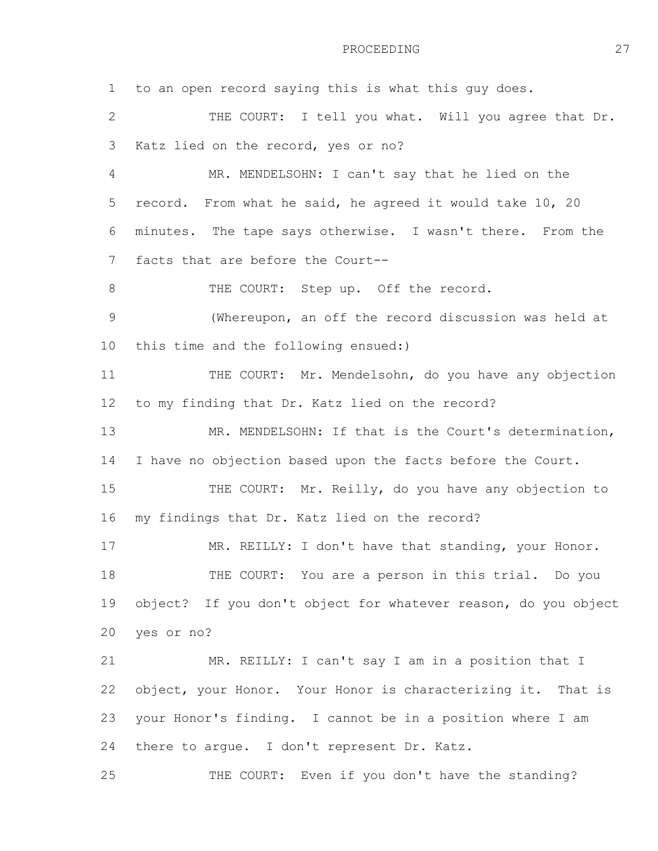1 2 3 4 5 6 7 8 9 10 11 12 13 14 15 16 17 18 19 20 21 22 23 24 25 to an open record saying this is what this guy does. THE COURT: I tell you what. Will you agree that Dr. Katz lied on the record, yes or no? MR. MENDELSOHN: I can't say that he lied on the record. From what he said, he agreed it would take 10, 20 minutes. The tape says otherwise. I wasn't there. From the facts that are before the Court-- THE COURT: Step up. Off the record. (Whereupon, an off the record discussion was held at this time and the following ensued:) THE COURT: Mr. Mendelsohn, do you have any objection to my finding that Dr. Katz lied on the record? MR. MENDELSOHN: If that is the Court's determination, I have no objection based upon the facts before the Court. THE COURT: Mr. Reilly, do you have any objection to my findings that Dr. Katz lied on the record? MR. REILLY: I don't have that standing, your Honor. THE COURT: You are a person in this trial. Do you object? If you don't object for whatever reason, do you object yes or no? MR. REILLY: I can't say I am in a position that I object, your Honor. Your Honor is characterizing it. That is your Honor's finding. I cannot be in a position where I am there to argue. I don't represent Dr. Katz. THE COURT: Even if you don't have the standing?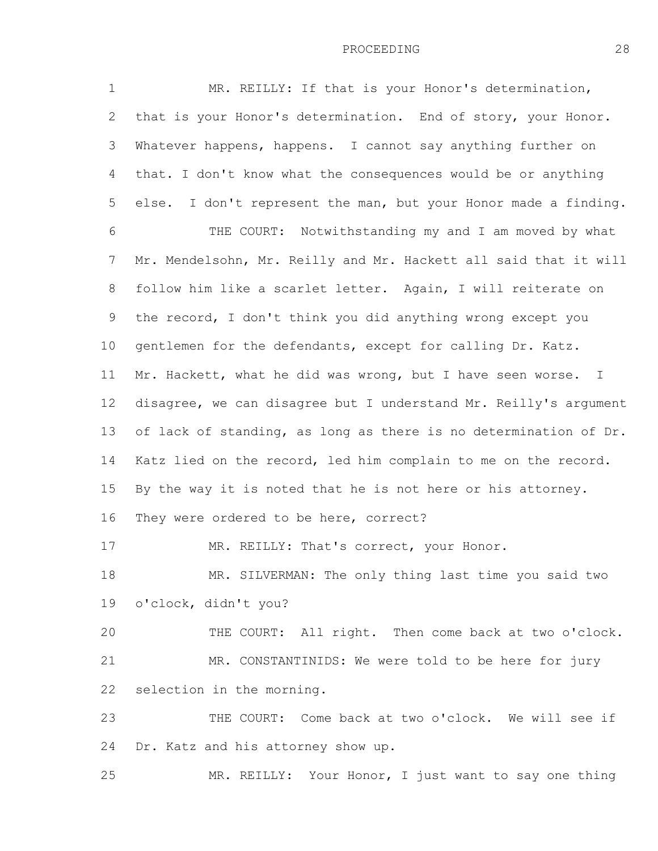1 2 3 4 5 6 7 8 9 10 11 12 13 14 15 16 17 18 19 20 21 22 23 24 25 MR. REILLY: If that is your Honor's determination, that is your Honor's determination. End of story, your Honor. Whatever happens, happens. I cannot say anything further on that. I don't know what the consequences would be or anything else. I don't represent the man, but your Honor made a finding. THE COURT: Notwithstanding my and I am moved by what Mr. Mendelsohn, Mr. Reilly and Mr. Hackett all said that it will follow him like a scarlet letter. Again, I will reiterate on the record, I don't think you did anything wrong except you gentlemen for the defendants, except for calling Dr. Katz. Mr. Hackett, what he did was wrong, but I have seen worse. I disagree, we can disagree but I understand Mr. Reilly's argument of lack of standing, as long as there is no determination of Dr. Katz lied on the record, led him complain to me on the record. By the way it is noted that he is not here or his attorney. They were ordered to be here, correct? MR. REILLY: That's correct, your Honor. MR. SILVERMAN: The only thing last time you said two o'clock, didn't you? THE COURT: All right. Then come back at two o'clock. MR. CONSTANTINIDS: We were told to be here for jury selection in the morning. THE COURT: Come back at two o'clock. We will see if Dr. Katz and his attorney show up. MR. REILLY: Your Honor, I just want to say one thing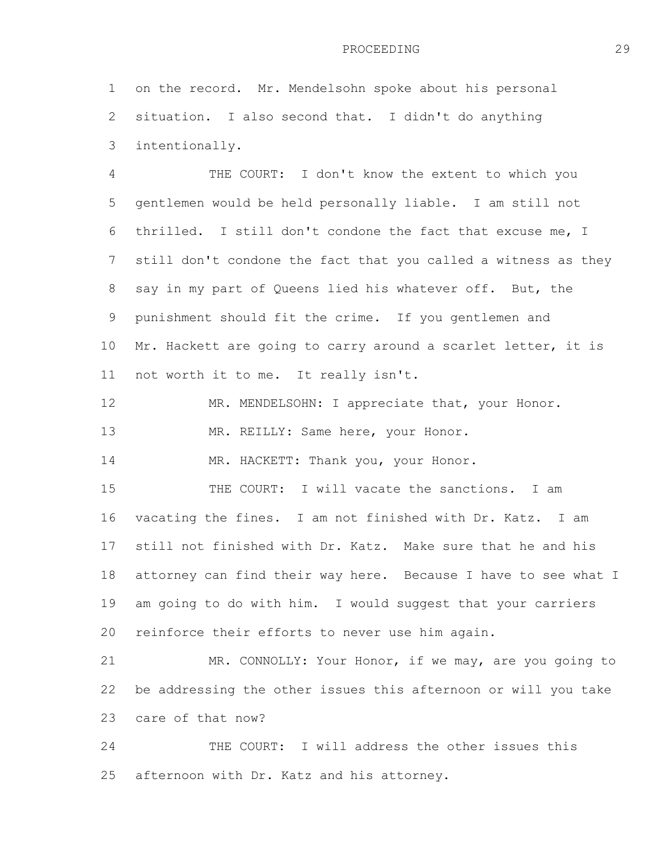1 2 3 on the record. Mr. Mendelsohn spoke about his personal situation. I also second that. I didn't do anything intentionally.

4 5 6 7 8 9 10 11 THE COURT: I don't know the extent to which you gentlemen would be held personally liable. I am still not thrilled. I still don't condone the fact that excuse me, I still don't condone the fact that you called a witness as they say in my part of Queens lied his whatever off. But, the punishment should fit the crime. If you gentlemen and Mr. Hackett are going to carry around a scarlet letter, it is not worth it to me. It really isn't.

12 13 MR. MENDELSOHN: I appreciate that, your Honor. MR. REILLY: Same here, your Honor.

14 MR. HACKETT: Thank you, your Honor.

15 16 17 18 19 20 THE COURT: I will vacate the sanctions. I am vacating the fines. I am not finished with Dr. Katz. I am still not finished with Dr. Katz. Make sure that he and his attorney can find their way here. Because I have to see what I am going to do with him. I would suggest that your carriers reinforce their efforts to never use him again.

21 22 23 MR. CONNOLLY: Your Honor, if we may, are you going to be addressing the other issues this afternoon or will you take care of that now?

24 25 THE COURT: I will address the other issues this afternoon with Dr. Katz and his attorney.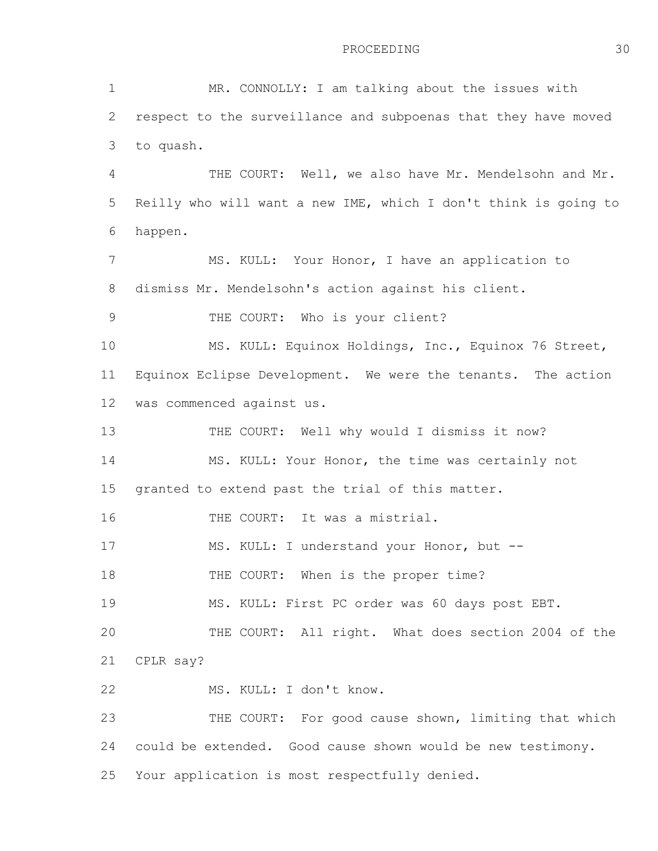1 2 3 4 5 6 7 8 9 10 11 12 13 14 15 16 17 18 19 20 21 22 23 24 25 MR. CONNOLLY: I am talking about the issues with respect to the surveillance and subpoenas that they have moved to quash. THE COURT: Well, we also have Mr. Mendelsohn and Mr. Reilly who will want a new IME, which I don't think is going to happen. MS. KULL: Your Honor, I have an application to dismiss Mr. Mendelsohn's action against his client. THE COURT: Who is your client? MS. KULL: Equinox Holdings, Inc., Equinox 76 Street, Equinox Eclipse Development. We were the tenants. The action was commenced against us. THE COURT: Well why would I dismiss it now? MS. KULL: Your Honor, the time was certainly not granted to extend past the trial of this matter. THE COURT: It was a mistrial. MS. KULL: I understand your Honor, but --THE COURT: When is the proper time? MS. KULL: First PC order was 60 days post EBT. THE COURT: All right. What does section 2004 of the CPLR say? MS. KULL: I don't know. THE COURT: For good cause shown, limiting that which could be extended. Good cause shown would be new testimony. Your application is most respectfully denied.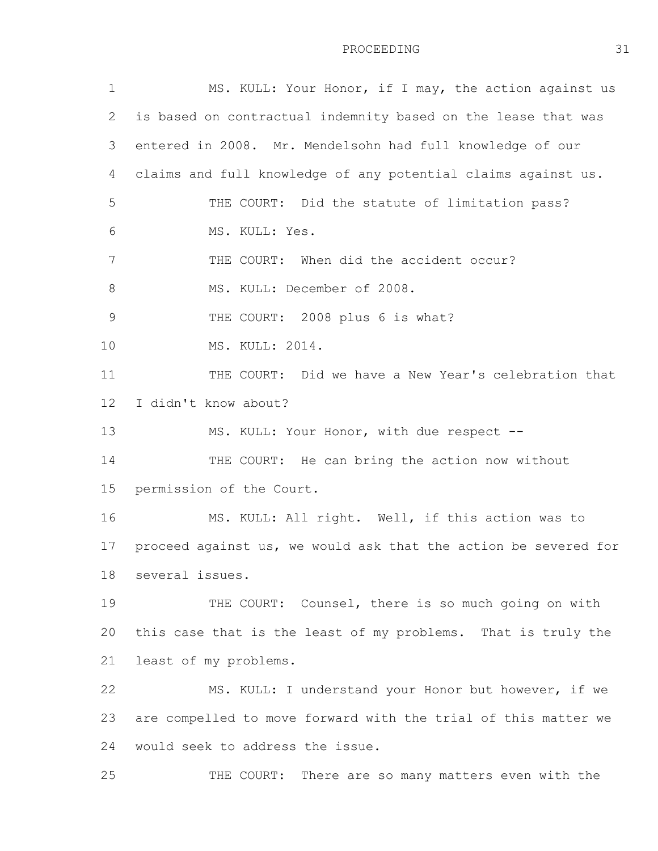1 2 3 4 5 6 7 8 9 10 11 12 13 14 15 16 17 18 19 20 21 22 23 24 25 MS. KULL: Your Honor, if I may, the action against us is based on contractual indemnity based on the lease that was entered in 2008. Mr. Mendelsohn had full knowledge of our claims and full knowledge of any potential claims against us. THE COURT: Did the statute of limitation pass? MS. KULL: Yes. THE COURT: When did the accident occur? MS. KULL: December of 2008. THE COURT: 2008 plus 6 is what? MS. KULL: 2014. THE COURT: Did we have a New Year's celebration that I didn't know about? MS. KULL: Your Honor, with due respect -- THE COURT: He can bring the action now without permission of the Court. MS. KULL: All right. Well, if this action was to proceed against us, we would ask that the action be severed for several issues. THE COURT: Counsel, there is so much going on with this case that is the least of my problems. That is truly the least of my problems. MS. KULL: I understand your Honor but however, if we are compelled to move forward with the trial of this matter we would seek to address the issue. THE COURT: There are so many matters even with the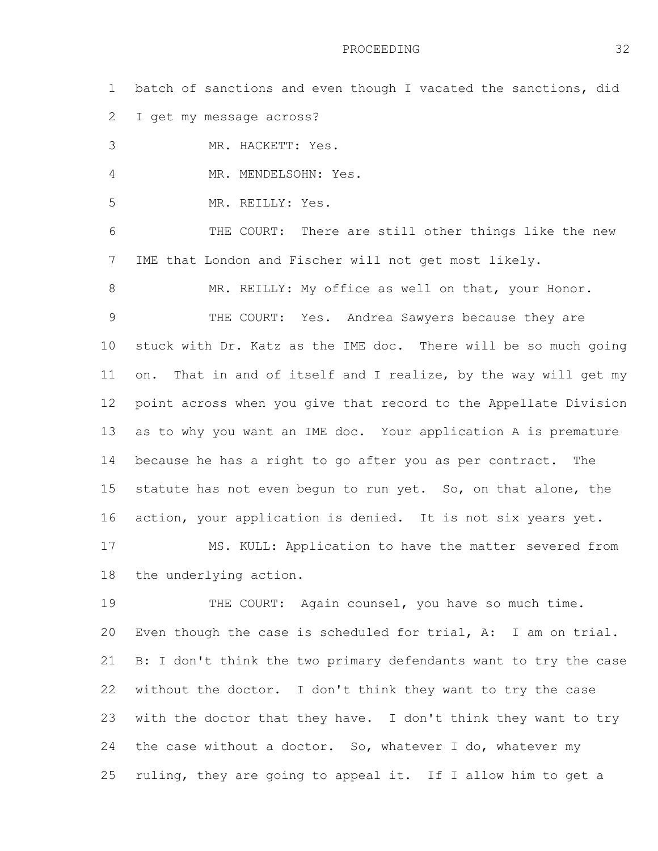1 2 batch of sanctions and even though I vacated the sanctions, did I get my message across?

3 MR. HACKETT: Yes.

4 MR. MENDELSOHN: Yes.

5 MR. REILLY: Yes.

6 7 THE COURT: There are still other things like the new IME that London and Fischer will not get most likely.

8 MR. REILLY: My office as well on that, your Honor.

9 10 11 12 13 14 15 16 17 THE COURT: Yes. Andrea Sawyers because they are stuck with Dr. Katz as the IME doc. There will be so much going on. That in and of itself and I realize, by the way will get my point across when you give that record to the Appellate Division as to why you want an IME doc. Your application A is premature because he has a right to go after you as per contract. The statute has not even begun to run yet. So, on that alone, the action, your application is denied. It is not six years yet. MS. KULL: Application to have the matter severed from

18 the underlying action.

19 20 21 22 23 24 25 THE COURT: Again counsel, you have so much time. Even though the case is scheduled for trial, A: I am on trial. B: I don't think the two primary defendants want to try the case without the doctor. I don't think they want to try the case with the doctor that they have. I don't think they want to try the case without a doctor. So, whatever I do, whatever my ruling, they are going to appeal it. If I allow him to get a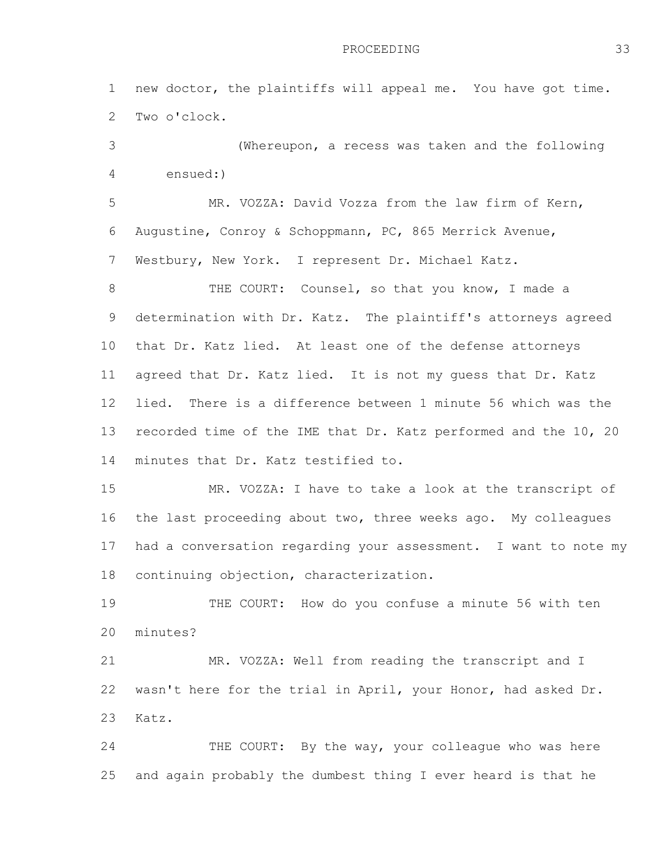1 2 new doctor, the plaintiffs will appeal me. You have got time. Two o'clock.

3 4 (Whereupon, a recess was taken and the following ensued:)

5 6 7 MR. VOZZA: David Vozza from the law firm of Kern, Augustine, Conroy & Schoppmann, PC, 865 Merrick Avenue, Westbury, New York. I represent Dr. Michael Katz.

8 9 10 11 12 13 14 THE COURT: Counsel, so that you know, I made a determination with Dr. Katz. The plaintiff's attorneys agreed that Dr. Katz lied. At least one of the defense attorneys agreed that Dr. Katz lied. It is not my guess that Dr. Katz lied. There is a difference between 1 minute 56 which was the recorded time of the IME that Dr. Katz performed and the 10, 20 minutes that Dr. Katz testified to.

15 16 17 18 MR. VOZZA: I have to take a look at the transcript of the last proceeding about two, three weeks ago. My colleagues had a conversation regarding your assessment. I want to note my continuing objection, characterization.

19 20 THE COURT: How do you confuse a minute 56 with ten minutes?

21 22 23 MR. VOZZA: Well from reading the transcript and I wasn't here for the trial in April, your Honor, had asked Dr. Katz.

24 25 THE COURT: By the way, your colleague who was here and again probably the dumbest thing I ever heard is that he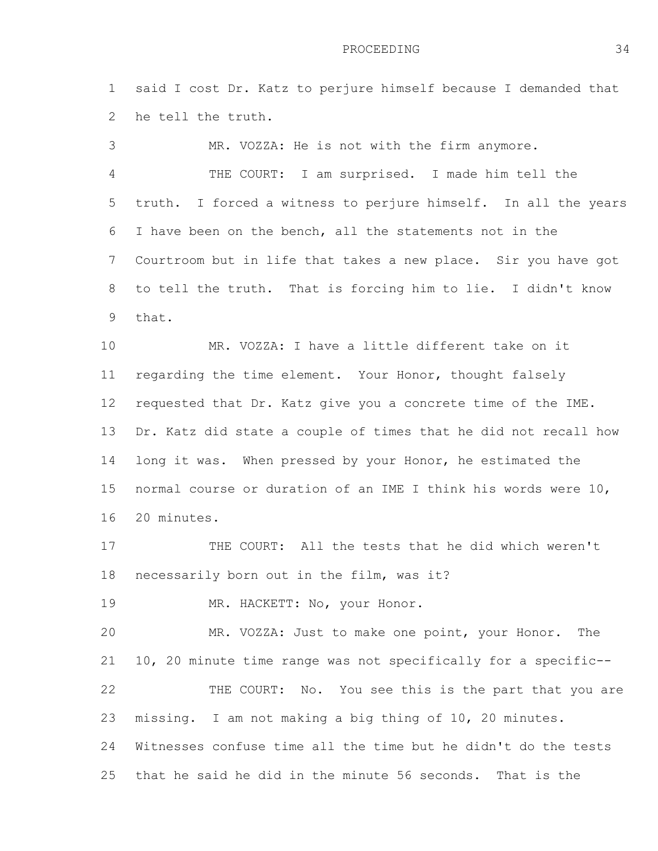1 2 said I cost Dr. Katz to perjure himself because I demanded that he tell the truth.

3 4 5 6 7 8 9 MR. VOZZA: He is not with the firm anymore. THE COURT: I am surprised. I made him tell the truth. I forced a witness to perjure himself. In all the years I have been on the bench, all the statements not in the Courtroom but in life that takes a new place. Sir you have got to tell the truth. That is forcing him to lie. I didn't know that.

10 11 12 13 14 15 16 MR. VOZZA: I have a little different take on it regarding the time element. Your Honor, thought falsely requested that Dr. Katz give you a concrete time of the IME. Dr. Katz did state a couple of times that he did not recall how long it was. When pressed by your Honor, he estimated the normal course or duration of an IME I think his words were 10, 20 minutes.

17 18 THE COURT: All the tests that he did which weren't necessarily born out in the film, was it?

19 MR. HACKETT: No, your Honor.

20 21 22 23 24 25 MR. VOZZA: Just to make one point, your Honor. The 10, 20 minute time range was not specifically for a specific-- THE COURT: No. You see this is the part that you are missing. I am not making a big thing of 10, 20 minutes. Witnesses confuse time all the time but he didn't do the tests that he said he did in the minute 56 seconds. That is the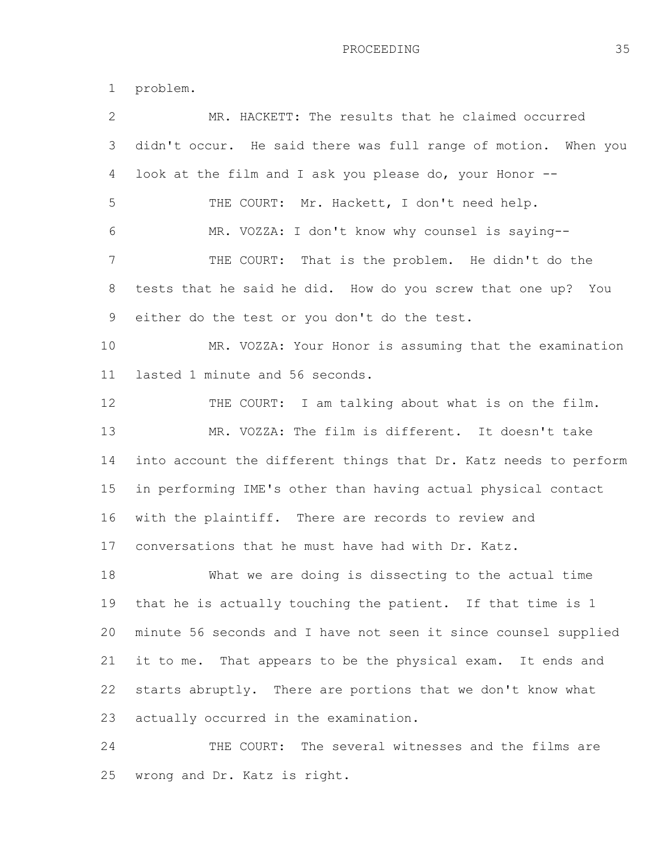1 problem.

| $\overline{2}$ | MR. HACKETT: The results that he claimed occurred                |
|----------------|------------------------------------------------------------------|
| 3              | didn't occur. He said there was full range of motion. When you   |
| 4              | look at the film and I ask you please do, your Honor --          |
| 5              | THE COURT: Mr. Hackett, I don't need help.                       |
| 6              | MR. VOZZA: I don't know why counsel is saying--                  |
| 7              | THE COURT: That is the problem. He didn't do the                 |
| 8              | tests that he said he did. How do you screw that one up? You     |
| 9              | either do the test or you don't do the test.                     |
| 10             | MR. VOZZA: Your Honor is assuming that the examination           |
| 11             | lasted 1 minute and 56 seconds.                                  |
| 12             | THE COURT: I am talking about what is on the film.               |
| 13             | MR. VOZZA: The film is different. It doesn't take                |
| 14             | into account the different things that Dr. Katz needs to perform |
| 15             | in performing IME's other than having actual physical contact    |
| 16             | with the plaintiff. There are records to review and              |
| 17             | conversations that he must have had with Dr. Katz.               |
| 18             | What we are doing is dissecting to the actual time               |
| 19             | that he is actually touching the patient. If that time is 1      |
| 20             | minute 56 seconds and I have not seen it since counsel supplied  |
| 21             | it to me. That appears to be the physical exam. It ends and      |
| 22             | starts abruptly. There are portions that we don't know what      |
| 23             | actually occurred in the examination.                            |
| 24             | THE COURT: The several witnesses and the films are               |
| 25             | wrong and Dr. Katz is right.                                     |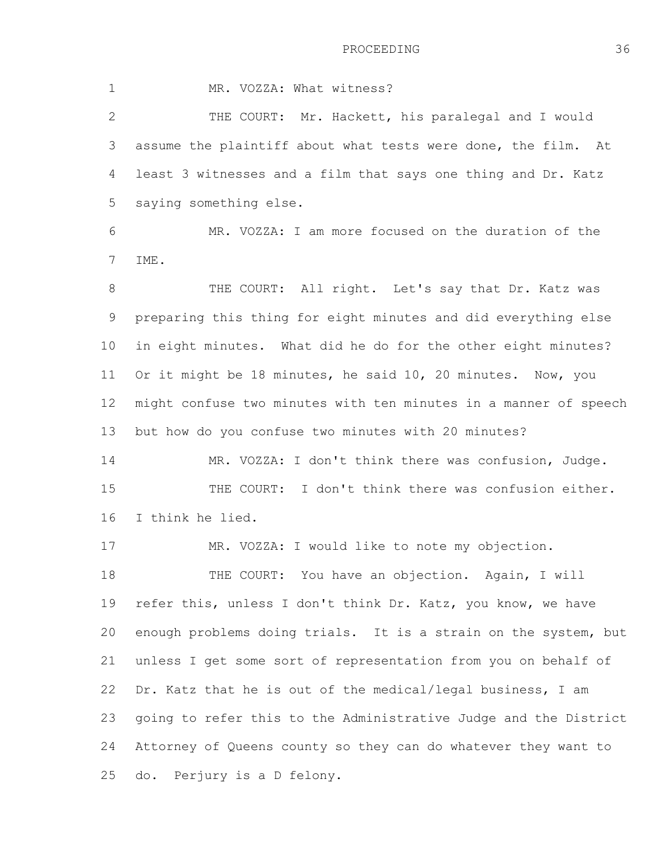1 2 3 4 5 6 MR. VOZZA: What witness? THE COURT: Mr. Hackett, his paralegal and I would assume the plaintiff about what tests were done, the film. At least 3 witnesses and a film that says one thing and Dr. Katz saying something else. MR. VOZZA: I am more focused on the duration of the

7 IME.

8 9 10 11 12 13 THE COURT: All right. Let's say that Dr. Katz was preparing this thing for eight minutes and did everything else in eight minutes. What did he do for the other eight minutes? Or it might be 18 minutes, he said 10, 20 minutes. Now, you might confuse two minutes with ten minutes in a manner of speech but how do you confuse two minutes with 20 minutes?

14 15 16 MR. VOZZA: I don't think there was confusion, Judge. THE COURT: I don't think there was confusion either. I think he lied.

17 18 19 20 21 22 23 24 25 MR. VOZZA: I would like to note my objection. THE COURT: You have an objection. Again, I will refer this, unless I don't think Dr. Katz, you know, we have enough problems doing trials. It is a strain on the system, but unless I get some sort of representation from you on behalf of Dr. Katz that he is out of the medical/legal business, I am going to refer this to the Administrative Judge and the District Attorney of Queens county so they can do whatever they want to do. Perjury is a D felony.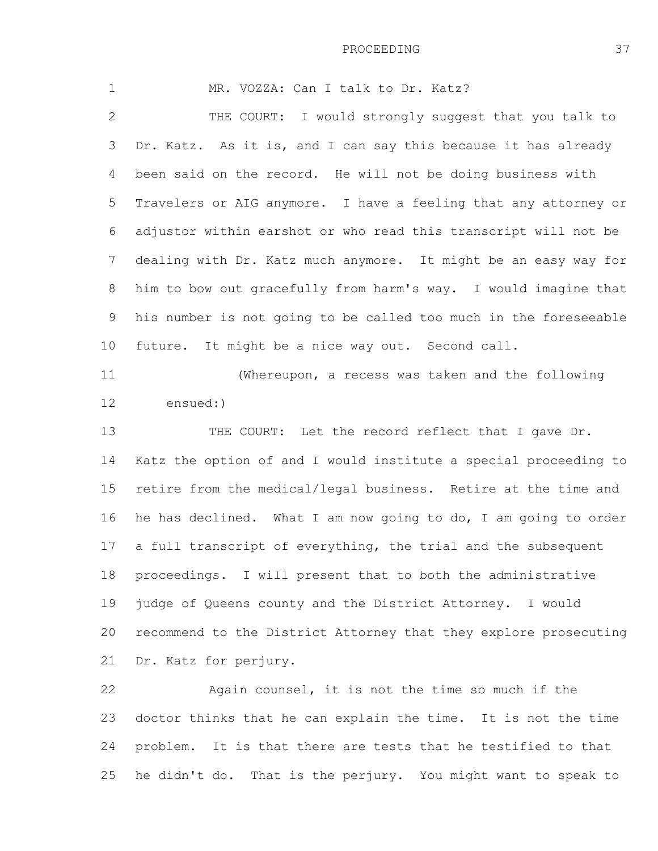1 2 3 4 5 6 7 8 9 10 MR. VOZZA: Can I talk to Dr. Katz? THE COURT: I would strongly suggest that you talk to Dr. Katz. As it is, and I can say this because it has already been said on the record. He will not be doing business with Travelers or AIG anymore. I have a feeling that any attorney or adjustor within earshot or who read this transcript will not be dealing with Dr. Katz much anymore. It might be an easy way for him to bow out gracefully from harm's way. I would imagine that his number is not going to be called too much in the foreseeable future. It might be a nice way out. Second call.

11 12 (Whereupon, a recess was taken and the following ensued:)

13 14 15 16 17 18 19 20 21 THE COURT: Let the record reflect that I gave Dr. Katz the option of and I would institute a special proceeding to retire from the medical/legal business. Retire at the time and he has declined. What I am now going to do, I am going to order a full transcript of everything, the trial and the subsequent proceedings. I will present that to both the administrative judge of Queens county and the District Attorney. I would recommend to the District Attorney that they explore prosecuting Dr. Katz for perjury.

22 23 24 25 Again counsel, it is not the time so much if the doctor thinks that he can explain the time. It is not the time problem. It is that there are tests that he testified to that he didn't do. That is the perjury. You might want to speak to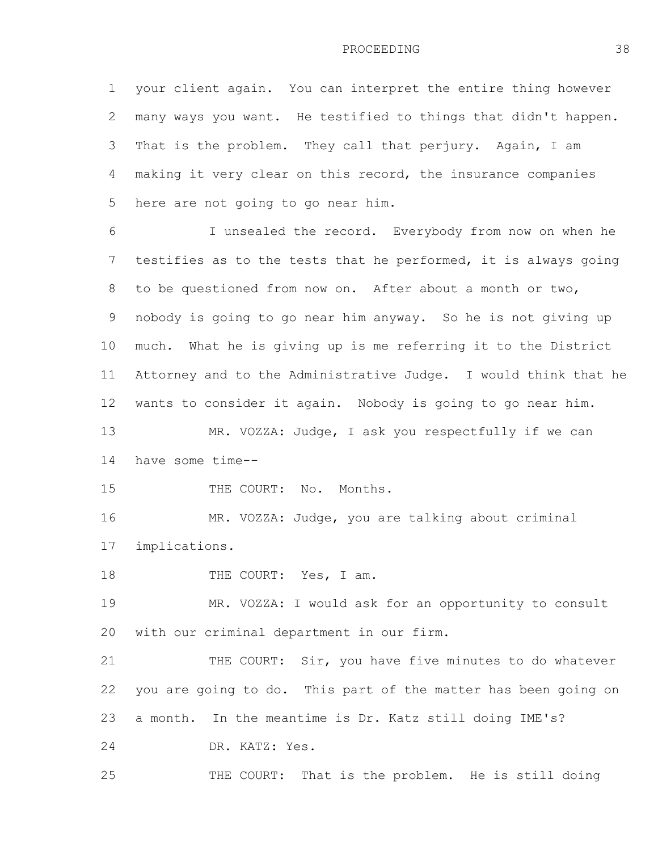1 2 3 4 5 your client again. You can interpret the entire thing however many ways you want. He testified to things that didn't happen. That is the problem. They call that perjury. Again, I am making it very clear on this record, the insurance companies here are not going to go near him.

6 7 8 9 10 11 12 I unsealed the record. Everybody from now on when he testifies as to the tests that he performed, it is always going to be questioned from now on. After about a month or two, nobody is going to go near him anyway. So he is not giving up much. What he is giving up is me referring it to the District Attorney and to the Administrative Judge. I would think that he wants to consider it again. Nobody is going to go near him.

13 14 MR. VOZZA: Judge, I ask you respectfully if we can have some time--

15 THE COURT: No. Months.

16 17 MR. VOZZA: Judge, you are talking about criminal implications.

18 THE COURT: Yes, I am.

19 20 MR. VOZZA: I would ask for an opportunity to consult with our criminal department in our firm.

21 22 23 24 THE COURT: Sir, you have five minutes to do whatever you are going to do. This part of the matter has been going on a month. In the meantime is Dr. Katz still doing IME's? DR. KATZ: Yes.

25 THE COURT: That is the problem. He is still doing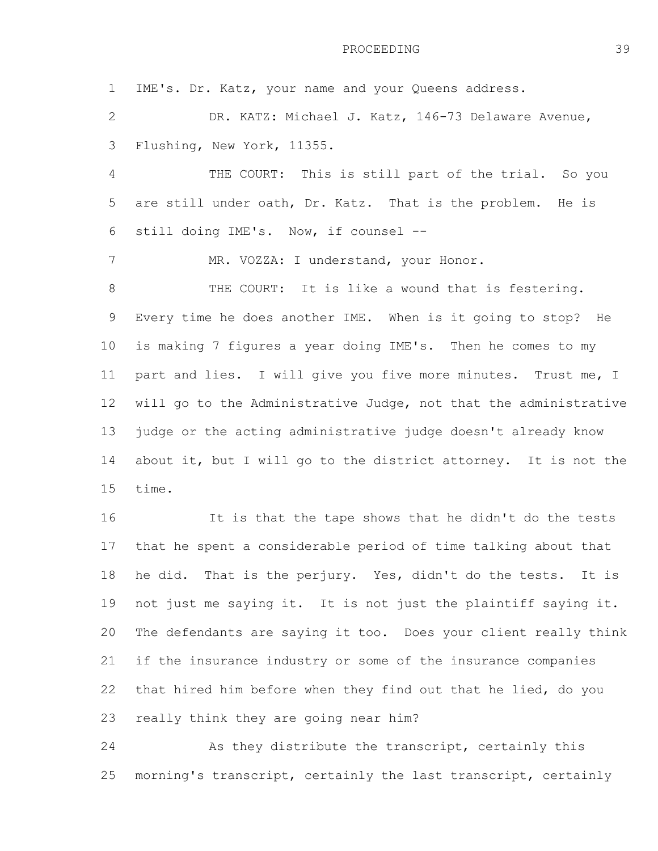1 2 3 4 5 6 7 8 9 10 11 12 13 14 15 16 17 18 19 20 21 IME's. Dr. Katz, your name and your Queens address. DR. KATZ: Michael J. Katz, 146-73 Delaware Avenue, Flushing, New York, 11355. THE COURT: This is still part of the trial. So you are still under oath, Dr. Katz. That is the problem. He is still doing IME's. Now, if counsel -- MR. VOZZA: I understand, your Honor. THE COURT: It is like a wound that is festering. Every time he does another IME. When is it going to stop? He is making 7 figures a year doing IME's. Then he comes to my part and lies. I will give you five more minutes. Trust me, I will go to the Administrative Judge, not that the administrative judge or the acting administrative judge doesn't already know about it, but I will go to the district attorney. It is not the time. It is that the tape shows that he didn't do the tests that he spent a considerable period of time talking about that he did. That is the perjury. Yes, didn't do the tests. It is not just me saying it. It is not just the plaintiff saying it. The defendants are saying it too. Does your client really think if the insurance industry or some of the insurance companies

23 really think they are going near him?

22

24 25 As they distribute the transcript, certainly this morning's transcript, certainly the last transcript, certainly

that hired him before when they find out that he lied, do you